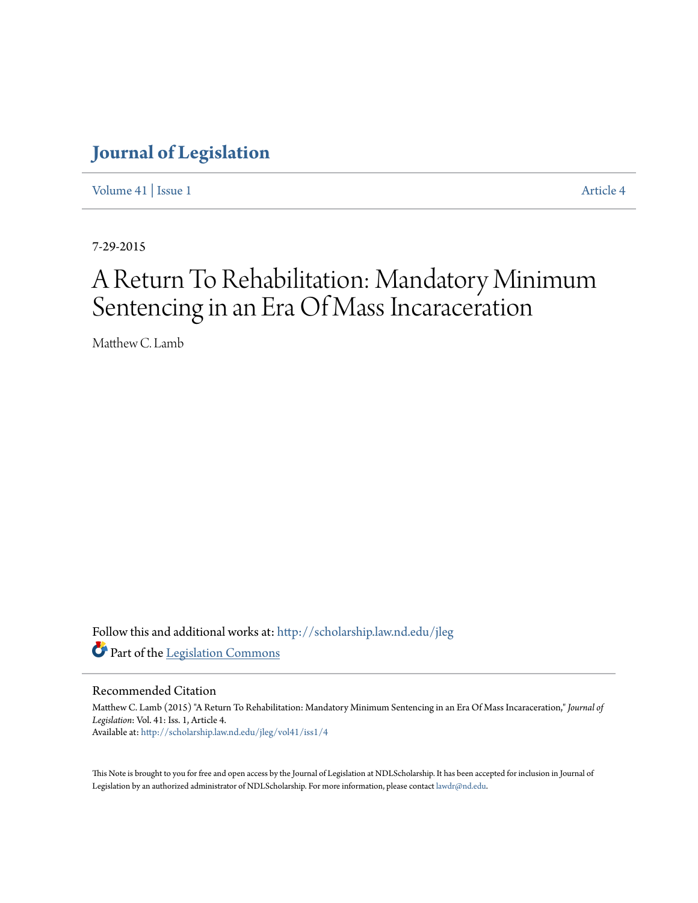[Volume 41](http://scholarship.law.nd.edu/jleg/vol41?utm_source=scholarship.law.nd.edu%2Fjleg%2Fvol41%2Fiss1%2F4&utm_medium=PDF&utm_campaign=PDFCoverPages) | [Issue 1](http://scholarship.law.nd.edu/jleg/vol41/iss1?utm_source=scholarship.law.nd.edu%2Fjleg%2Fvol41%2Fiss1%2F4&utm_medium=PDF&utm_campaign=PDFCoverPages) [Article 4](http://scholarship.law.nd.edu/jleg/vol41/iss1/4?utm_source=scholarship.law.nd.edu%2Fjleg%2Fvol41%2Fiss1%2F4&utm_medium=PDF&utm_campaign=PDFCoverPages)

7-29-2015

# A Return To Rehabilitation: Mandatory Minimum Sentencing in an Era Of Mass Incaraceration

Matthew C. Lamb

Follow this and additional works at: [http://scholarship.law.nd.edu/jleg](http://scholarship.law.nd.edu/jleg?utm_source=scholarship.law.nd.edu%2Fjleg%2Fvol41%2Fiss1%2F4&utm_medium=PDF&utm_campaign=PDFCoverPages) Part of the [Legislation Commons](http://network.bepress.com/hgg/discipline/859?utm_source=scholarship.law.nd.edu%2Fjleg%2Fvol41%2Fiss1%2F4&utm_medium=PDF&utm_campaign=PDFCoverPages)

## Recommended Citation

Matthew C. Lamb (2015) "A Return To Rehabilitation: Mandatory Minimum Sentencing in an Era Of Mass Incaraceration," *Journal of Legislation*: Vol. 41: Iss. 1, Article 4. Available at: [http://scholarship.law.nd.edu/jleg/vol41/iss1/4](http://scholarship.law.nd.edu/jleg/vol41/iss1/4?utm_source=scholarship.law.nd.edu%2Fjleg%2Fvol41%2Fiss1%2F4&utm_medium=PDF&utm_campaign=PDFCoverPages)

This Note is brought to you for free and open access by the Journal of Legislation at NDLScholarship. It has been accepted for inclusion in Journal of Legislation by an authorized administrator of NDLScholarship. For more information, please contact [lawdr@nd.edu.](mailto:lawdr@nd.edu)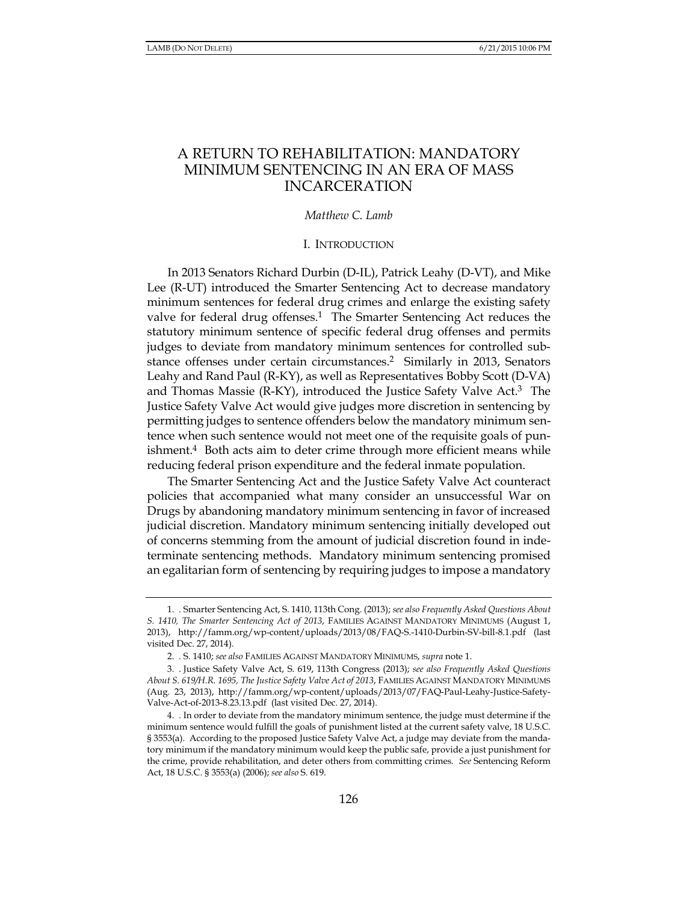## A RETURN TO REHABILITATION: MANDATORY MINIMUM SENTENCING IN AN ERA OF MASS **INCARCERATION**

## Matthew C. Lamb

## I. INTRODUCTION

In 2013 Senators Richard Durbin (D-IL), Patrick Leahy (D-VT), and Mike Lee (R-UT) introduced the Smarter Sentencing Act to decrease mandatory minimum sentences for federal drug crimes and enlarge the existing safety valve for federal drug offenses.<sup>1</sup> The Smarter Sentencing Act reduces the statutory minimum sentence of specific federal drug offenses and permits judges to deviate from mandatory minimum sentences for controlled substance offenses under certain circumstances.<sup>2</sup> Similarly in 2013, Senators Leahy and Rand Paul (R-KY), as well as Representatives Bobby Scott (D-VA) and Thomas Massie (R-KY), introduced the Justice Safety Valve Act.<sup>3</sup> The Justice Safety Valve Act would give judges more discretion in sentencing by permitting judges to sentence offenders below the mandatory minimum sentence when such sentence would not meet one of the requisite goals of punishment. $4$  Both acts aim to deter crime through more efficient means while reducing federal prison expenditure and the federal inmate population.

The Smarter Sentencing Act and the Justice Safety Valve Act counteract policies that accompanied what many consider an unsuccessful War on Drugs by abandoning mandatory minimum sentencing in favor of increased judicial discretion. Mandatory minimum sentencing initially developed out of concerns stemming from the amount of judicial discretion found in indeterminate sentencing methods. Mandatory minimum sentencing promised an egalitarian form of sentencing by requiring judges to impose a mandatory

<sup>1.</sup> Smarter Sentencing Act, S. 1410, 113th Cong. (2013); see also Frequently Asked Questions About S. 1410, The Smarter Sentencing Act of 2013, FAMILIES AGAINST MANDATORY MINIMUMS (August 1, 2013), http://famm.org/wp-content/uploads/2013/08/FAQ-S.-1410-Durbin-SV-bill-8.1.pdf (last visited Dec. 27, 2014).

<sup>2. .</sup> S. 1410; see also FAMILIES AGAINST MANDATORY MINIMUMS, supra note 1.

<sup>3.</sup> Justice Safety Valve Act, S. 619, 113th Congress (2013); see also Frequently Asked Questions About S. 619/H.R. 1695, The Justice Safety Valve Act of 2013, FAMILIES AGAINST MANDATORY MINIMUMS (Aug. 23, 2013), http://famm.org/wp-content/uploads/2013/07/FAQ-Paul-Leahy-Justice-Safety-Valve-Act-of-2013-8.23.13.pdf (last visited Dec. 27, 2014).

<sup>4. .</sup> In order to deviate from the mandatory minimum sentence, the judge must determine if the minimum sentence would fulfill the goals of punishment listed at the current safety valve, 18 U.S.C. § 3553(a). According to the proposed Justice Safety Valve Act, a judge may deviate from the mandatory minimum if the mandatory minimum would keep the public safe, provide a just punishment for the crime, provide rehabilitation, and deter others from committing crimes. See Sentencing Reform Act, 18 U.S.C. § 3553(a) (2006); see also S. 619.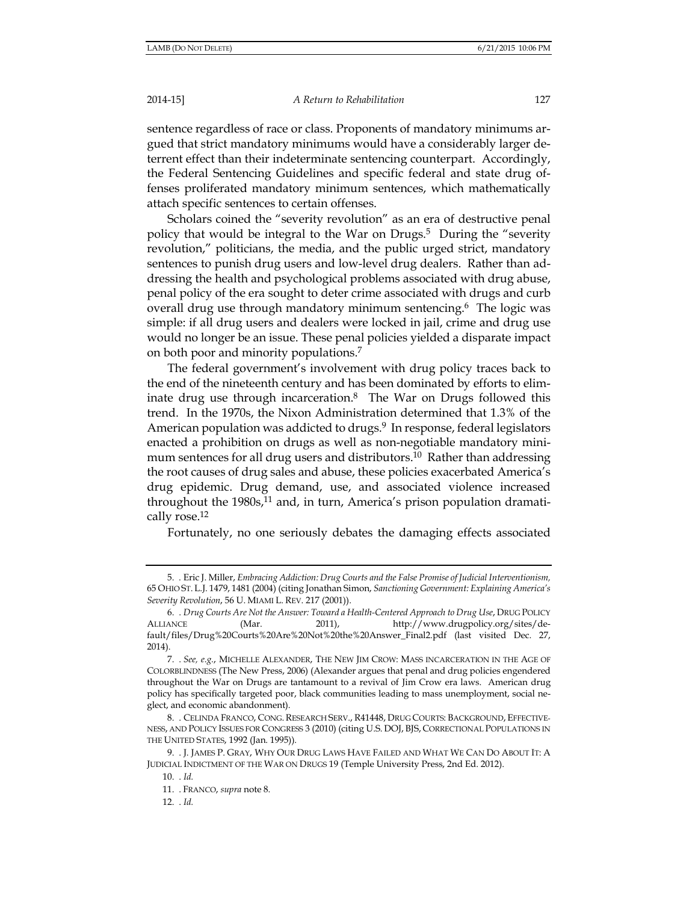A Return to Rehabilitation

sentence regardless of race or class. Proponents of mandatory minimums argued that strict mandatory minimums would have a considerably larger deterrent effect than their indeterminate sentencing counterpart. Accordingly, the Federal Sentencing Guidelines and specific federal and state drug offenses proliferated mandatory minimum sentences, which mathematically attach specific sentences to certain offenses.

Scholars coined the "severity revolution" as an era of destructive penal policy that would be integral to the War on Drugs.<sup>5</sup> During the "severity" revolution," politicians, the media, and the public urged strict, mandatory sentences to punish drug users and low-level drug dealers. Rather than addressing the health and psychological problems associated with drug abuse, penal policy of the era sought to deter crime associated with drugs and curb overall drug use through mandatory minimum sentencing.<sup>6</sup> The logic was simple: if all drug users and dealers were locked in jail, crime and drug use would no longer be an issue. These penal policies yielded a disparate impact on both poor and minority populations.<sup>7</sup>

The federal government's involvement with drug policy traces back to the end of the nineteenth century and has been dominated by efforts to eliminate drug use through incarceration.<sup>8</sup> The War on Drugs followed this trend. In the 1970s, the Nixon Administration determined that 1.3% of the American population was addicted to drugs.<sup>9</sup> In response, federal legislators enacted a prohibition on drugs as well as non-negotiable mandatory minimum sentences for all drug users and distributors.<sup>10</sup> Rather than addressing the root causes of drug sales and abuse, these policies exacerbated America's drug epidemic. Drug demand, use, and associated violence increased throughout the  $1980s<sub>1</sub>$ , and, in turn, America's prison population dramatically rose.<sup>12</sup>

Fortunately, no one seriously debates the damaging effects associated

<sup>5. .</sup> Eric J. Miller, Embracing Addiction: Drug Courts and the False Promise of Judicial Interventionism, 65 OHIO ST. L.J. 1479, 1481 (2004) (citing Jonathan Simon, Sanctioning Government: Explaining America's Severity Revolution, 56 U. MIAMI L. REV. 217 (2001)).

<sup>6. .</sup> Drug Courts Are Not the Answer: Toward a Health-Centered Approach to Drug Use, DRUG POLICY  $2011,$ **ALLIANCE** http://www.drugpolicy.org/sites/de-(Mar. fault/files/Drug%20Courts%20Are%20Not%20the%20Answer\_Final2.pdf (last visited Dec. 27,  $2014$ ).

<sup>7. .</sup> See, e.g., MICHELLE ALEXANDER, THE NEW JIM CROW: MASS INCARCERATION IN THE AGE OF COLORBLINDNESS (The New Press, 2006) (Alexander argues that penal and drug policies engendered throughout the War on Drugs are tantamount to a revival of Jim Crow era laws. American drug policy has specifically targeted poor, black communities leading to mass unemployment, social neglect, and economic abandonment).

<sup>8.</sup> CELINDA FRANCO, CONG. RESEARCH SERV., R41448, DRUG COURTS: BACKGROUND, EFFECTIVE-NESS, AND POLICY ISSUES FOR CONGRESS 3 (2010) (citing U.S. DOJ, BJS, CORRECTIONAL POPULATIONS IN THE UNITED STATES, 1992 (Jan. 1995)).

<sup>9. .</sup> J. JAMES P. GRAY, WHY OUR DRUG LAWS HAVE FAILED AND WHAT WE CAN DO ABOUT IT: A JUDICIAL INDICTMENT OF THE WAR ON DRUGS 19 (Temple University Press, 2nd Ed. 2012).

 $10.$   $Id.$ 

<sup>11.</sup> FRANCO, supra note 8.

<sup>12.</sup> Id.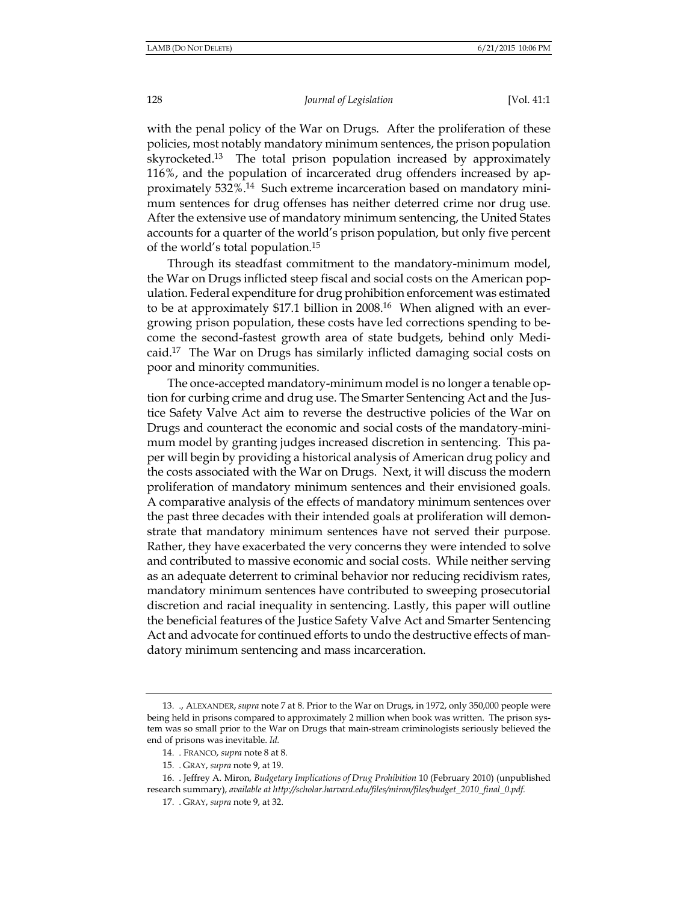with the penal policy of the War on Drugs. After the proliferation of these policies, most notably mandatory minimum sentences, the prison population skyrocketed.<sup>13</sup> The total prison population increased by approximately 116%, and the population of incarcerated drug offenders increased by approximately 532%.<sup>14</sup> Such extreme incarceration based on mandatory minimum sentences for drug offenses has neither deterred crime nor drug use. After the extensive use of mandatory minimum sentencing, the United States accounts for a quarter of the world's prison population, but only five percent of the world's total population.<sup>15</sup>

Through its steadfast commitment to the mandatory-minimum model, the War on Drugs inflicted steep fiscal and social costs on the American population. Federal expenditure for drug prohibition enforcement was estimated to be at approximately \$17.1 billion in 2008.<sup>16</sup> When aligned with an evergrowing prison population, these costs have led corrections spending to become the second-fastest growth area of state budgets, behind only Medicaid.<sup>17</sup> The War on Drugs has similarly inflicted damaging social costs on poor and minority communities.

The once-accepted mandatory-minimum model is no longer a tenable option for curbing crime and drug use. The Smarter Sentencing Act and the Justice Safety Valve Act aim to reverse the destructive policies of the War on Drugs and counteract the economic and social costs of the mandatory-minimum model by granting judges increased discretion in sentencing. This paper will begin by providing a historical analysis of American drug policy and the costs associated with the War on Drugs. Next, it will discuss the modern proliferation of mandatory minimum sentences and their envisioned goals. A comparative analysis of the effects of mandatory minimum sentences over the past three decades with their intended goals at proliferation will demonstrate that mandatory minimum sentences have not served their purpose. Rather, they have exacerbated the very concerns they were intended to solve and contributed to massive economic and social costs. While neither serving as an adequate deterrent to criminal behavior nor reducing recidivism rates, mandatory minimum sentences have contributed to sweeping prosecutorial discretion and racial inequality in sentencing. Lastly, this paper will outline the beneficial features of the Justice Safety Valve Act and Smarter Sentencing Act and advocate for continued efforts to undo the destructive effects of mandatory minimum sentencing and mass incarceration.

<sup>13. .,</sup> ALEXANDER, supra note 7 at 8. Prior to the War on Drugs, in 1972, only 350,000 people were being held in prisons compared to approximately 2 million when book was written. The prison system was so small prior to the War on Drugs that main-stream criminologists seriously believed the end of prisons was inevitable. Id.

<sup>14.</sup> FRANCO, supra note 8 at 8.

<sup>15.</sup> GRAY, supra note 9, at 19.

<sup>16. .</sup> Jeffrey A. Miron, Budgetary Implications of Drug Prohibition 10 (February 2010) (unpublished research summary), available at http://scholar.harvard.edu/files/miron/files/budget\_2010\_final\_0.pdf.

<sup>17.</sup> GRAY, supra note 9, at 32.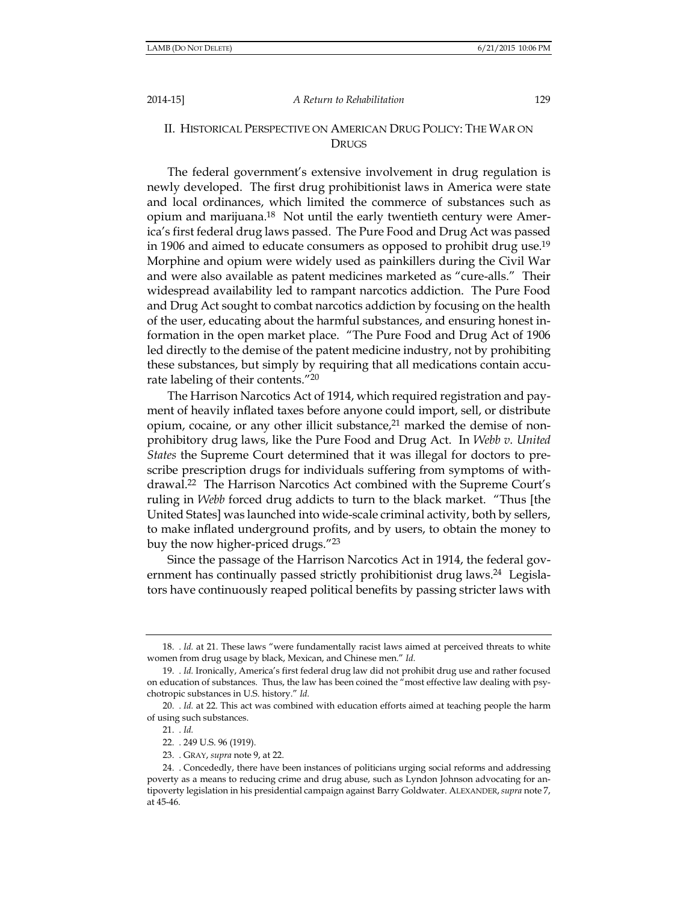#### A Return to Rehabilitation

129

## II. HISTORICAL PERSPECTIVE ON AMERICAN DRUG POLICY: THE WAR ON **DRUGS**

The federal government's extensive involvement in drug regulation is newly developed. The first drug prohibitionist laws in America were state and local ordinances, which limited the commerce of substances such as opium and marijuana.<sup>18</sup> Not until the early twentieth century were America's first federal drug laws passed. The Pure Food and Drug Act was passed in 1906 and aimed to educate consumers as opposed to prohibit drug use.<sup>19</sup> Morphine and opium were widely used as painkillers during the Civil War and were also available as patent medicines marketed as "cure-alls." Their widespread availability led to rampant narcotics addiction. The Pure Food and Drug Act sought to combat narcotics addiction by focusing on the health of the user, educating about the harmful substances, and ensuring honest information in the open market place. "The Pure Food and Drug Act of 1906 led directly to the demise of the patent medicine industry, not by prohibiting these substances, but simply by requiring that all medications contain accurate labeling of their contents."20

The Harrison Narcotics Act of 1914, which required registration and payment of heavily inflated taxes before anyone could import, sell, or distribute opium, cocaine, or any other illicit substance,<sup>21</sup> marked the demise of nonprohibitory drug laws, like the Pure Food and Drug Act. In Webb v. United *States* the Supreme Court determined that it was illegal for doctors to prescribe prescription drugs for individuals suffering from symptoms of withdrawal.<sup>22</sup> The Harrison Narcotics Act combined with the Supreme Court's ruling in *Webb* forced drug addicts to turn to the black market. "Thus [the United States] was launched into wide-scale criminal activity, both by sellers, to make inflated underground profits, and by users, to obtain the money to buy the now higher-priced drugs."23

Since the passage of the Harrison Narcotics Act in 1914, the federal government has continually passed strictly prohibitionist drug laws.<sup>24</sup> Legislators have continuously reaped political benefits by passing stricter laws with

<sup>18.</sup> Id. at 21. These laws "were fundamentally racist laws aimed at perceived threats to white women from drug usage by black, Mexican, and Chinese men." Id.

<sup>19.</sup> Id. Ironically, America's first federal drug law did not prohibit drug use and rather focused on education of substances. Thus, the law has been coined the "most effective law dealing with psychotropic substances in U.S. history." Id.

<sup>20.</sup> *Id.* at 22. This act was combined with education efforts aimed at teaching people the harm of using such substances.

 $21.$   $Id.$ 

<sup>22. . 249</sup> U.S. 96 (1919).

<sup>23.</sup> GRAY, supra note 9, at 22.

<sup>24.</sup> Concededly, there have been instances of politicians urging social reforms and addressing poverty as a means to reducing crime and drug abuse, such as Lyndon Johnson advocating for antipoverty legislation in his presidential campaign against Barry Goldwater. ALEXANDER, supra note 7, at 45-46.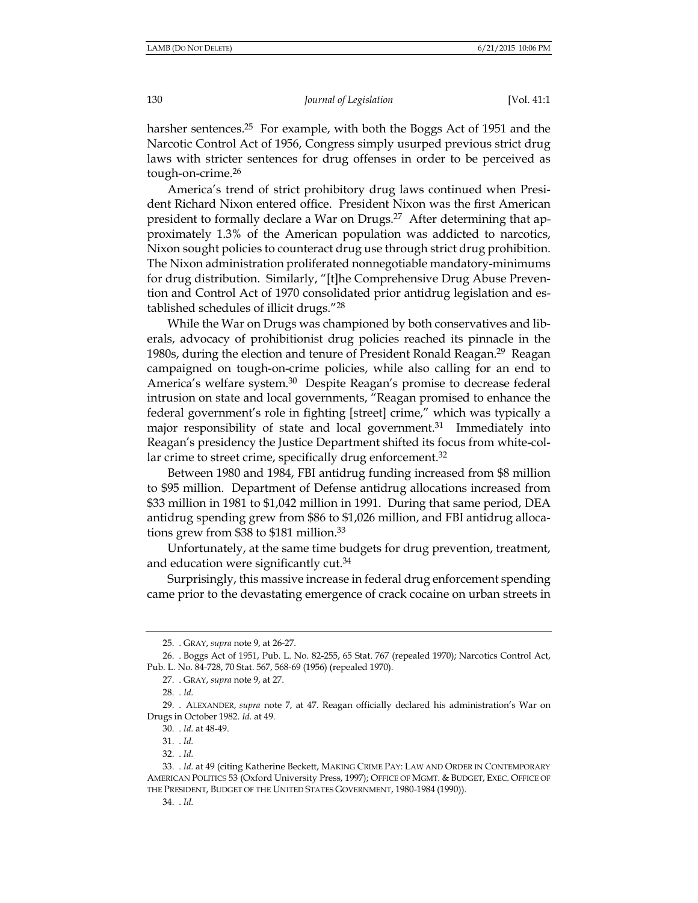harsher sentences.<sup>25</sup> For example, with both the Boggs Act of 1951 and the Narcotic Control Act of 1956, Congress simply usurped previous strict drug laws with stricter sentences for drug offenses in order to be perceived as tough-on-crime.<sup>26</sup>

America's trend of strict prohibitory drug laws continued when President Richard Nixon entered office. President Nixon was the first American president to formally declare a War on Drugs.<sup>27</sup> After determining that approximately 1.3% of the American population was addicted to narcotics, Nixon sought policies to counteract drug use through strict drug prohibition. The Nixon administration proliferated nonnegotiable mandatory-minimums for drug distribution. Similarly, "[t]he Comprehensive Drug Abuse Prevention and Control Act of 1970 consolidated prior antidrug legislation and established schedules of illicit drugs."28

While the War on Drugs was championed by both conservatives and liberals, advocacy of prohibitionist drug policies reached its pinnacle in the 1980s, during the election and tenure of President Ronald Reagan.<sup>29</sup> Reagan campaigned on tough-on-crime policies, while also calling for an end to America's welfare system.<sup>30</sup> Despite Reagan's promise to decrease federal intrusion on state and local governments, "Reagan promised to enhance the federal government's role in fighting [street] crime," which was typically a major responsibility of state and local government.<sup>31</sup> Immediately into Reagan's presidency the Justice Department shifted its focus from white-collar crime to street crime, specifically drug enforcement.<sup>32</sup>

Between 1980 and 1984, FBI antidrug funding increased from \$8 million to \$95 million. Department of Defense antidrug allocations increased from \$33 million in 1981 to \$1,042 million in 1991. During that same period, DEA antidrug spending grew from \$86 to \$1,026 million, and FBI antidrug allocations grew from \$38 to \$181 million.<sup>33</sup>

Unfortunately, at the same time budgets for drug prevention, treatment, and education were significantly cut.<sup>34</sup>

Surprisingly, this massive increase in federal drug enforcement spending came prior to the devastating emergence of crack cocaine on urban streets in

<sup>25.</sup> GRAY, supra note 9, at 26-27.

<sup>26. .</sup> Boggs Act of 1951, Pub. L. No. 82-255, 65 Stat. 767 (repealed 1970); Narcotics Control Act, Pub. L. No. 84-728, 70 Stat. 567, 568-69 (1956) (repealed 1970).

<sup>27.</sup> GRAY, supra note 9, at 27.

<sup>28.</sup> Id.

<sup>29. .</sup> ALEXANDER, supra note 7, at 47. Reagan officially declared his administration's War on Drugs in October 1982. Id. at 49.

<sup>30.</sup> *. Id.* at 48-49.

<sup>31.</sup> Id.

<sup>32.</sup> *Id.* 

<sup>33.</sup> Id. at 49 (citing Katherine Beckett, MAKING CRIME PAY: LAW AND ORDER IN CONTEMPORARY AMERICAN POLITICS 53 (Oxford University Press, 1997); OFFICE OF MGMT. & BUDGET, EXEC. OFFICE OF THE PRESIDENT, BUDGET OF THE UNITED STATES GOVERNMENT, 1980-1984 (1990)).

<sup>34. .</sup> Id.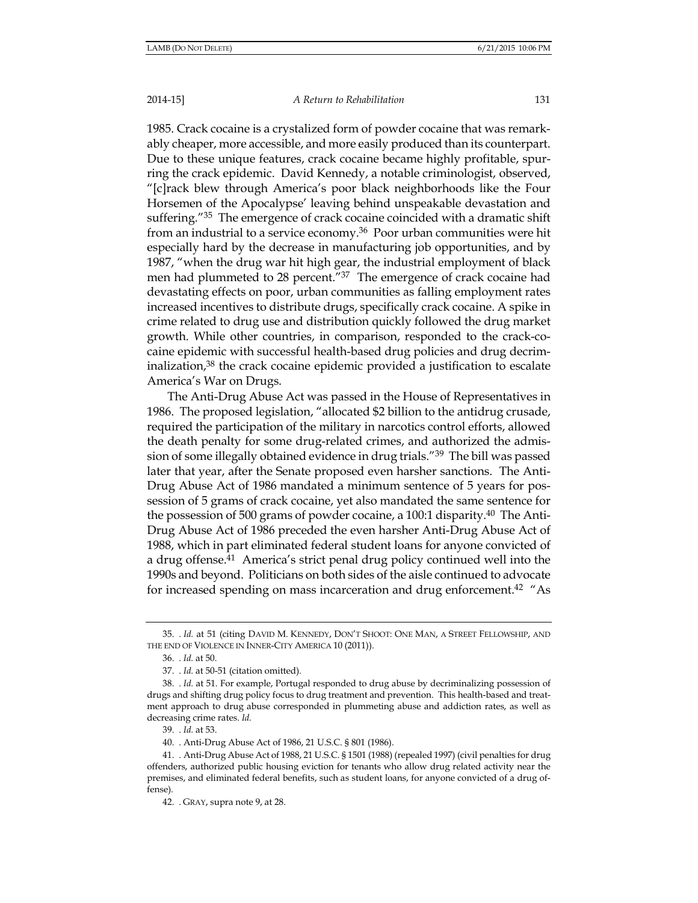#### A Return to Rehabilitation

131

1985. Crack cocaine is a crystalized form of powder cocaine that was remarkably cheaper, more accessible, and more easily produced than its counterpart. Due to these unique features, crack cocaine became highly profitable, spurring the crack epidemic. David Kennedy, a notable criminologist, observed, "[c]rack blew through America's poor black neighborhoods like the Four Horsemen of the Apocalypse' leaving behind unspeakable devastation and suffering."35 The emergence of crack cocaine coincided with a dramatic shift from an industrial to a service economy.<sup>36</sup> Poor urban communities were hit especially hard by the decrease in manufacturing job opportunities, and by 1987, "when the drug war hit high gear, the industrial employment of black men had plummeted to 28 percent."37 The emergence of crack cocaine had devastating effects on poor, urban communities as falling employment rates increased incentives to distribute drugs, specifically crack cocaine. A spike in crime related to drug use and distribution quickly followed the drug market growth. While other countries, in comparison, responded to the crack-cocaine epidemic with successful health-based drug policies and drug decriminalization,<sup>38</sup> the crack cocaine epidemic provided a justification to escalate America's War on Drugs.

The Anti-Drug Abuse Act was passed in the House of Representatives in 1986. The proposed legislation, "allocated \$2 billion to the antidrug crusade, required the participation of the military in narcotics control efforts, allowed the death penalty for some drug-related crimes, and authorized the admission of some illegally obtained evidence in drug trials."<sup>39</sup> The bill was passed later that year, after the Senate proposed even harsher sanctions. The Anti-Drug Abuse Act of 1986 mandated a minimum sentence of 5 years for possession of 5 grams of crack cocaine, yet also mandated the same sentence for the possession of 500 grams of powder cocaine, a 100:1 disparity.<sup>40</sup> The Anti-Drug Abuse Act of 1986 preceded the even harsher Anti-Drug Abuse Act of 1988, which in part eliminated federal student loans for anyone convicted of a drug offense.<sup>41</sup> America's strict penal drug policy continued well into the 1990s and beyond. Politicians on both sides of the aisle continued to advocate for increased spending on mass incarceration and drug enforcement.<sup>42</sup> "As

<sup>35.</sup> Id. at 51 (citing DAVID M. KENNEDY, DON'T SHOOT: ONE MAN, A STREET FELLOWSHIP, AND THE END OF VIOLENCE IN INNER-CITY AMERICA 10 (2011)).

<sup>36. .</sup> Id. at 50.

<sup>37. .</sup> Id. at 50-51 (citation omitted).

<sup>38.</sup> Id. at 51. For example, Portugal responded to drug abuse by decriminalizing possession of drugs and shifting drug policy focus to drug treatment and prevention. This health-based and treatment approach to drug abuse corresponded in plummeting abuse and addiction rates, as well as decreasing crime rates. Id.

<sup>39.</sup> *Id.* at 53.

<sup>40.</sup> Anti-Drug Abuse Act of 1986, 21 U.S.C. § 801 (1986).

<sup>41.</sup> Anti-Drug Abuse Act of 1988, 21 U.S.C. § 1501 (1988) (repealed 1997) (civil penalties for drug offenders, authorized public housing eviction for tenants who allow drug related activity near the premises, and eliminated federal benefits, such as student loans, for anyone convicted of a drug offense).

<sup>42.</sup> GRAY, supra note 9, at 28.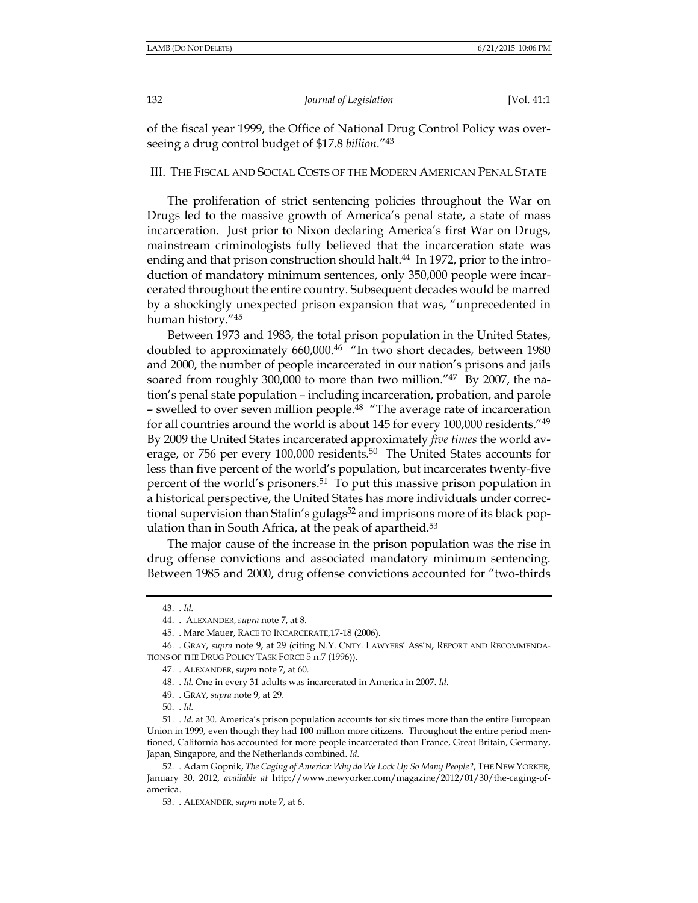132

Journal of Legislation

[Vol. 41:1

of the fiscal year 1999, the Office of National Drug Control Policy was overseeing a drug control budget of \$17.8 billion."<sup>43</sup>

#### III. THE FISCAL AND SOCIAL COSTS OF THE MODERN AMERICAN PENAL STATE

The proliferation of strict sentencing policies throughout the War on Drugs led to the massive growth of America's penal state, a state of mass incarceration. Just prior to Nixon declaring America's first War on Drugs, mainstream criminologists fully believed that the incarceration state was ending and that prison construction should halt.<sup>44</sup> In 1972, prior to the introduction of mandatory minimum sentences, only 350,000 people were incarcerated throughout the entire country. Subsequent decades would be marred by a shockingly unexpected prison expansion that was, "unprecedented in human history."45

Between 1973 and 1983, the total prison population in the United States, doubled to approximately 660,000.46 "In two short decades, between 1980 and 2000, the number of people incarcerated in our nation's prisons and jails soared from roughly 300,000 to more than two million."47 By 2007, the nation's penal state population - including incarceration, probation, and parole - swelled to over seven million people.<sup>48</sup> "The average rate of incarceration for all countries around the world is about 145 for every 100,000 residents.<sup>749</sup> By 2009 the United States incarcerated approximately *five times* the world average, or 756 per every 100,000 residents.<sup>50</sup> The United States accounts for less than five percent of the world's population, but incarcerates twenty-five percent of the world's prisoners.<sup>51</sup> To put this massive prison population in a historical perspective, the United States has more individuals under correctional supervision than Stalin's gulags<sup>52</sup> and imprisons more of its black population than in South Africa, at the peak of apartheid.<sup>53</sup>

The major cause of the increase in the prison population was the rise in drug offense convictions and associated mandatory minimum sentencing. Between 1985 and 2000, drug offense convictions accounted for "two-thirds"

<sup>43.</sup> Id.

<sup>44. .</sup> ALEXANDER, supra note 7, at 8.

<sup>45.</sup> Marc Mauer, RACE TO INCARCERATE, 17-18 (2006).

<sup>46. .</sup> GRAY, supra note 9, at 29 (citing N.Y. CNTY. LAWYERS' ASS'N, REPORT AND RECOMMENDA-TIONS OF THE DRUG POLICY TASK FORCE 5 n.7 (1996)).

<sup>47.</sup> ALEXANDER, supra note 7, at 60.

<sup>48. .</sup> Id. One in every 31 adults was incarcerated in America in 2007. Id.

<sup>49.</sup> GRAY, supra note 9, at 29.

<sup>50. .</sup> Id.

<sup>51.</sup> *Id.* at 30. America's prison population accounts for six times more than the entire European Union in 1999, even though they had 100 million more citizens. Throughout the entire period mentioned, California has accounted for more people incarcerated than France, Great Britain, Germany, Japan, Singapore, and the Netherlands combined. Id.

<sup>52.</sup> Adam Gopnik, The Caging of America: Why do We Lock Up So Many People?, THE NEW YORKER, January 30, 2012, available at http://www.newyorker.com/magazine/2012/01/30/the-caging-ofamerica.

<sup>53.</sup> ALEXANDER, supra note 7, at 6.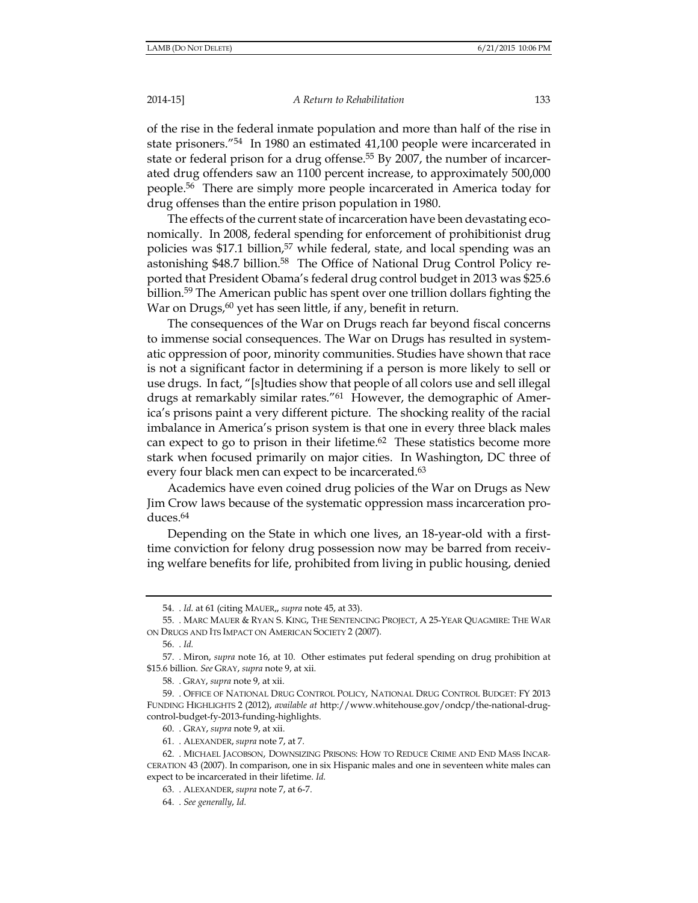A Return to Rehabilitation

of the rise in the federal inmate population and more than half of the rise in state prisoners."<sup>54</sup> In 1980 an estimated 41,100 people were incarcerated in state or federal prison for a drug offense.<sup>55</sup> By 2007, the number of incarcerated drug offenders saw an 1100 percent increase, to approximately 500,000 people.<sup>56</sup> There are simply more people incarcerated in America today for drug offenses than the entire prison population in 1980.

The effects of the current state of incarceration have been devastating economically. In 2008, federal spending for enforcement of prohibitionist drug policies was \$17.1 billion,<sup>57</sup> while federal, state, and local spending was an astonishing \$48.7 billion.<sup>58</sup> The Office of National Drug Control Policy reported that President Obama's federal drug control budget in 2013 was \$25.6 billion.<sup>59</sup> The American public has spent over one trillion dollars fighting the War on Drugs,<sup>60</sup> yet has seen little, if any, benefit in return.

The consequences of the War on Drugs reach far beyond fiscal concerns to immense social consequences. The War on Drugs has resulted in systematic oppression of poor, minority communities. Studies have shown that race is not a significant factor in determining if a person is more likely to sell or use drugs. In fact, "[s] tudies show that people of all colors use and sell illegal drugs at remarkably similar rates."<sup>61</sup> However, the demographic of America's prisons paint a very different picture. The shocking reality of the racial imbalance in America's prison system is that one in every three black males can expect to go to prison in their lifetime. $62$  These statistics become more stark when focused primarily on major cities. In Washington, DC three of every four black men can expect to be incarcerated.<sup>63</sup>

Academics have even coined drug policies of the War on Drugs as New Jim Crow laws because of the systematic oppression mass incarceration pro $duces.<sup>64</sup>$ 

Depending on the State in which one lives, an 18-year-old with a firsttime conviction for felony drug possession now may be barred from receiving welfare benefits for life, prohibited from living in public housing, denied

<sup>54. .</sup> Id. at 61 (citing MAUER,, supra note 45, at 33).

<sup>55.</sup> MARC MAUER & RYAN S. KING, THE SENTENCING PROJECT, A 25-YEAR QUAGMIRE: THE WAR ON DRUGS AND ITS IMPACT ON AMERICAN SOCIETY 2 (2007).

 $56.$   $Id.$ 

<sup>57.</sup> Miron, supra note 16, at 10. Other estimates put federal spending on drug prohibition at \$15.6 billion. See GRAY, supra note 9, at xii.

<sup>58.</sup> GRAY, supra note 9, at xii.

<sup>59. .</sup> OFFICE OF NATIONAL DRUG CONTROL POLICY, NATIONAL DRUG CONTROL BUDGET: FY 2013 FUNDING HIGHLIGHTS 2 (2012), available at http://www.whitehouse.gov/ondcp/the-national-drugcontrol-budget-fy-2013-funding-highlights.

<sup>60.</sup> GRAY, supra note 9, at xii.

<sup>61. .</sup> ALEXANDER, supra note 7, at 7.

<sup>62.</sup> MICHAEL JACOBSON, DOWNSIZING PRISONS: HOW TO REDUCE CRIME AND END MASS INCAR-CERATION 43 (2007). In comparison, one in six Hispanic males and one in seventeen white males can expect to be incarcerated in their lifetime. Id.

<sup>63.</sup> ALEXANDER, supra note 7, at 6-7.

<sup>64. .</sup> See generally, Id.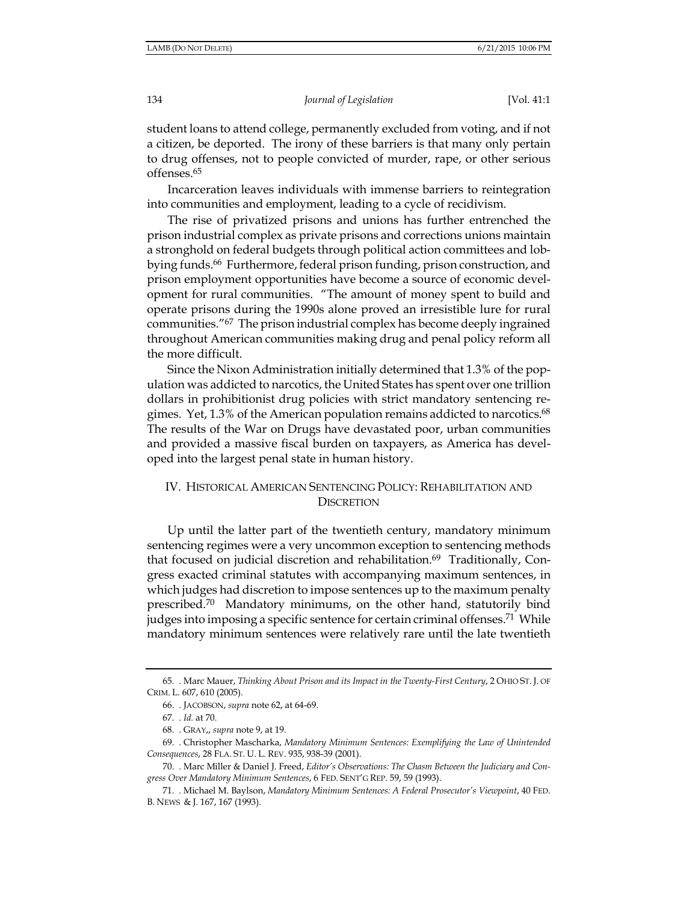[Vol. 41:1

student loans to attend college, permanently excluded from voting, and if not a citizen, be deported. The irony of these barriers is that many only pertain to drug offenses, not to people convicted of murder, rape, or other serious offenses.<sup>65</sup>

Incarceration leaves individuals with immense barriers to reintegration into communities and employment, leading to a cycle of recidivism.

The rise of privatized prisons and unions has further entrenched the prison industrial complex as private prisons and corrections unions maintain a stronghold on federal budgets through political action committees and lobbying funds.<sup>66</sup> Furthermore, federal prison funding, prison construction, and prison employment opportunities have become a source of economic development for rural communities. "The amount of money spent to build and operate prisons during the 1990s alone proved an irresistible lure for rural communities."<sup>67</sup> The prison industrial complex has become deeply ingrained throughout American communities making drug and penal policy reform all the more difficult.

Since the Nixon Administration initially determined that 1.3% of the population was addicted to narcotics, the United States has spent over one trillion dollars in prohibitionist drug policies with strict mandatory sentencing regimes. Yet, 1.3% of the American population remains addicted to narcotics.<sup>68</sup> The results of the War on Drugs have devastated poor, urban communities and provided a massive fiscal burden on taxpayers, as America has developed into the largest penal state in human history.

## IV. HISTORICAL AMERICAN SENTENCING POLICY: REHABILITATION AND **DISCRETION**

Up until the latter part of the twentieth century, mandatory minimum sentencing regimes were a very uncommon exception to sentencing methods that focused on judicial discretion and rehabilitation.<sup>69</sup> Traditionally, Congress exacted criminal statutes with accompanying maximum sentences, in which judges had discretion to impose sentences up to the maximum penalty prescribed.<sup>70</sup> Mandatory minimums, on the other hand, statutorily bind judges into imposing a specific sentence for certain criminal offenses.<sup>71</sup> While mandatory minimum sentences were relatively rare until the late twentieth

<sup>65.</sup> Marc Mauer, Thinking About Prison and its Impact in the Twenty-First Century, 2 OHIO ST. J. OF CRIM. L. 607, 610 (2005).

<sup>66.</sup> JACOBSON, supra note 62, at 64-69.

<sup>67. .</sup> Id. at 70.

<sup>68.</sup> GRAY,, supra note 9, at 19.

<sup>69.</sup> Christopher Mascharka, Mandatory Minimum Sentences: Exemplifying the Law of Unintended Consequences, 28 FLA. ST. U. L. REV. 935, 938-39 (2001).

<sup>70.</sup> Marc Miller & Daniel J. Freed, Editor's Observations: The Chasm Between the Judiciary and Congress Over Mandatory Minimum Sentences, 6 FED. SENT'G REP. 59, 59 (1993).

<sup>71.</sup> Michael M. Baylson, Mandatory Minimum Sentences: A Federal Prosecutor's Viewpoint, 40 FED. B. NEWS & J. 167, 167 (1993).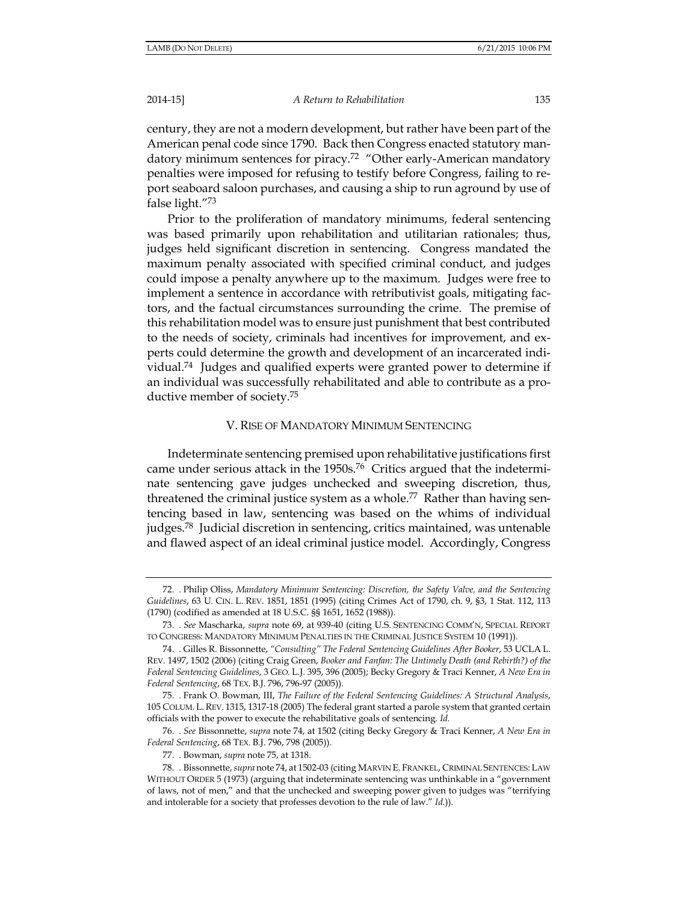A Return to Rehabilitation

century, they are not a modern development, but rather have been part of the American penal code since 1790. Back then Congress enacted statutory mandatory minimum sentences for piracy.<sup>72</sup> "Other early-American mandatory penalties were imposed for refusing to testify before Congress, failing to report seaboard saloon purchases, and causing a ship to run aground by use of false light. $73$ 

Prior to the proliferation of mandatory minimums, federal sentencing was based primarily upon rehabilitation and utilitarian rationales; thus, judges held significant discretion in sentencing. Congress mandated the maximum penalty associated with specified criminal conduct, and judges could impose a penalty anywhere up to the maximum. Judges were free to implement a sentence in accordance with retributivist goals, mitigating factors, and the factual circumstances surrounding the crime. The premise of this rehabilitation model was to ensure just punishment that best contributed to the needs of society, criminals had incentives for improvement, and experts could determine the growth and development of an incarcerated individual.<sup>74</sup> Judges and qualified experts were granted power to determine if an individual was successfully rehabilitated and able to contribute as a productive member of society.<sup>75</sup>

## V. RISE OF MANDATORY MINIMUM SENTENCING

Indeterminate sentencing premised upon rehabilitative justifications first came under serious attack in the 1950s.<sup>76</sup> Critics argued that the indeterminate sentencing gave judges unchecked and sweeping discretion, thus, threatened the criminal justice system as a whole.<sup>77</sup> Rather than having sentencing based in law, sentencing was based on the whims of individual judges.<sup>78</sup> Judicial discretion in sentencing, critics maintained, was untenable and flawed aspect of an ideal criminal justice model. Accordingly, Congress

<sup>72.</sup> Philip Oliss, Mandatory Minimum Sentencing: Discretion, the Safety Valve, and the Sentencing Guidelines, 63 U. CIN. L. REV. 1851, 1851 (1995) (citing Crimes Act of 1790, ch. 9, §3, 1 Stat. 112, 113 (1790) (codified as amended at 18 U.S.C. §§ 1651, 1652 (1988)).

<sup>73. .</sup> See Mascharka, supra note 69, at 939-40 (citing U.S. SENTENCING COMM'N, SPECIAL REPORT TO CONGRESS: MANDATORY MINIMUM PENALTIES IN THE CRIMINAL JUSTICE SYSTEM 10 (1991)).

<sup>74.</sup> Gilles R. Bissonnette, "Consulting" The Federal Sentencing Guidelines After Booker, 53 UCLA L. REV. 1497, 1502 (2006) (citing Craig Green, Booker and Fanfan: The Untimely Death (and Rebirth?) of the Federal Sentencing Guidelines, 3 GEO. L.J. 395, 396 (2005); Becky Gregory & Traci Kenner, A New Era in Federal Sentencing, 68 TEX. B.J. 796, 796-97 (2005)).

<sup>75.</sup> Frank O. Bowman, III, The Failure of the Federal Sentencing Guidelines: A Structural Analysis, 105 COLUM. L. REV. 1315, 1317-18 (2005) The federal grant started a parole system that granted certain officials with the power to execute the rehabilitative goals of sentencing. Id.

<sup>76. .</sup> See Bissonnette, supra note 74, at 1502 (citing Becky Gregory & Traci Kenner, A New Era in Federal Sentencing, 68 TEX. B.J. 796, 798 (2005)).

<sup>77.</sup> Bowman, *supra* note 75, at 1318.

<sup>78.</sup> Bissonnette, *supra* note 74, at 1502-03 (citing MARVIN E. FRANKEL, CRIMINAL SENTENCES: LAW WITHOUT ORDER 5 (1973) (arguing that indeterminate sentencing was unthinkable in a "government" of laws, not of men," and that the unchecked and sweeping power given to judges was "terrifying and intolerable for a society that professes devotion to the rule of law." Id.)).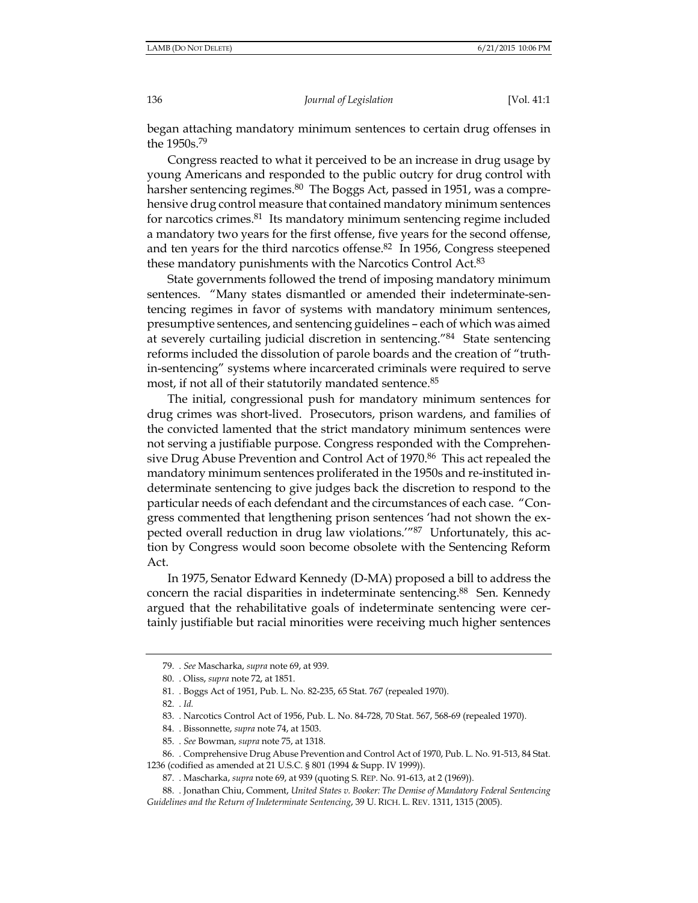began attaching mandatory minimum sentences to certain drug offenses in the 1950s.<sup>79</sup>

Congress reacted to what it perceived to be an increase in drug usage by young Americans and responded to the public outcry for drug control with harsher sentencing regimes.<sup>80</sup> The Boggs Act, passed in 1951, was a comprehensive drug control measure that contained mandatory minimum sentences for narcotics crimes.<sup>81</sup> Its mandatory minimum sentencing regime included a mandatory two years for the first offense, five years for the second offense, and ten years for the third narcotics offense.<sup>82</sup> In 1956, Congress steepened these mandatory punishments with the Narcotics Control Act.<sup>83</sup>

State governments followed the trend of imposing mandatory minimum sentences. "Many states dismantled or amended their indeterminate-sentencing regimes in favor of systems with mandatory minimum sentences, presumptive sentences, and sentencing guidelines – each of which was aimed at severely curtailing judicial discretion in sentencing."84 State sentencing reforms included the dissolution of parole boards and the creation of "truthin-sentencing" systems where incarcerated criminals were required to serve most, if not all of their statutorily mandated sentence.<sup>85</sup>

The initial, congressional push for mandatory minimum sentences for drug crimes was short-lived. Prosecutors, prison wardens, and families of the convicted lamented that the strict mandatory minimum sentences were not serving a justifiable purpose. Congress responded with the Comprehensive Drug Abuse Prevention and Control Act of 1970.<sup>86</sup> This act repealed the mandatory minimum sentences proliferated in the 1950s and re-instituted indeterminate sentencing to give judges back the discretion to respond to the particular needs of each defendant and the circumstances of each case. "Congress commented that lengthening prison sentences 'had not shown the expected overall reduction in drug law violations."<sup>87</sup> Unfortunately, this action by Congress would soon become obsolete with the Sentencing Reform Act.

In 1975, Senator Edward Kennedy (D-MA) proposed a bill to address the concern the racial disparities in indeterminate sentencing.<sup>88</sup> Sen. Kennedy argued that the rehabilitative goals of indeterminate sentencing were certainly justifiable but racial minorities were receiving much higher sentences

<sup>79. .</sup> See Mascharka, supra note 69, at 939.

<sup>80.</sup> Oliss, supra note 72, at 1851.

<sup>81.</sup> Boggs Act of 1951, Pub. L. No. 82-235, 65 Stat. 767 (repealed 1970).

<sup>82. .</sup> Id.

<sup>83.</sup> Narcotics Control Act of 1956, Pub. L. No. 84-728, 70 Stat. 567, 568-69 (repealed 1970).

<sup>84.</sup> Bissonnette, supra note 74, at 1503.

<sup>85. .</sup> See Bowman, supra note 75, at 1318.

<sup>86.</sup> Comprehensive Drug Abuse Prevention and Control Act of 1970, Pub. L. No. 91-513, 84 Stat.

<sup>1236 (</sup>codified as amended at 21 U.S.C. § 801 (1994 & Supp. IV 1999)).

<sup>87.</sup> Mascharka, supra note 69, at 939 (quoting S. REP. No. 91-613, at 2 (1969)).

<sup>88.</sup> Jonathan Chiu, Comment, United States v. Booker: The Demise of Mandatory Federal Sentencing Guidelines and the Return of Indeterminate Sentencing, 39 U. RICH. L. REV. 1311, 1315 (2005).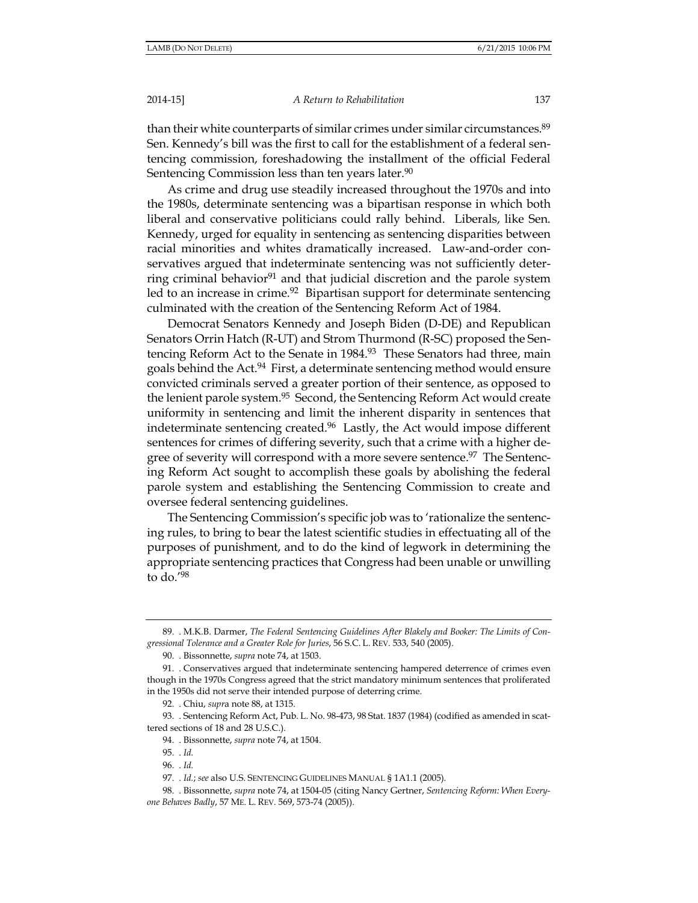#### A Return to Rehabilitation

than their white counterparts of similar crimes under similar circumstances.<sup>89</sup> Sen. Kennedy's bill was the first to call for the establishment of a federal sentencing commission, foreshadowing the installment of the official Federal Sentencing Commission less than ten years later.<sup>90</sup>

As crime and drug use steadily increased throughout the 1970s and into the 1980s, determinate sentencing was a bipartisan response in which both liberal and conservative politicians could rally behind. Liberals, like Sen. Kennedy, urged for equality in sentencing as sentencing disparities between racial minorities and whites dramatically increased. Law-and-order conservatives argued that indeterminate sentencing was not sufficiently deterring criminal behavior<sup>91</sup> and that judicial discretion and the parole system led to an increase in crime.<sup>92</sup> Bipartisan support for determinate sentencing culminated with the creation of the Sentencing Reform Act of 1984.

Democrat Senators Kennedy and Joseph Biden (D-DE) and Republican Senators Orrin Hatch (R-UT) and Strom Thurmond (R-SC) proposed the Sentencing Reform Act to the Senate in 1984.93 These Senators had three, main goals behind the Act.<sup>94</sup> First, a determinate sentencing method would ensure convicted criminals served a greater portion of their sentence, as opposed to the lenient parole system.<sup>95</sup> Second, the Sentencing Reform Act would create uniformity in sentencing and limit the inherent disparity in sentences that indeterminate sentencing created.<sup>96</sup> Lastly, the Act would impose different sentences for crimes of differing severity, such that a crime with a higher degree of severity will correspond with a more severe sentence.<sup>97</sup> The Sentencing Reform Act sought to accomplish these goals by abolishing the federal parole system and establishing the Sentencing Commission to create and oversee federal sentencing guidelines.

The Sentencing Commission's specific job was to 'rationalize the sentencing rules, to bring to bear the latest scientific studies in effectuating all of the purposes of punishment, and to do the kind of legwork in determining the appropriate sentencing practices that Congress had been unable or unwilling to do. $^{\prime 98}$ 

<sup>89. .</sup> M.K.B. Darmer, The Federal Sentencing Guidelines After Blakely and Booker: The Limits of Congressional Tolerance and a Greater Role for Juries, 56 S.C. L. REV. 533, 540 (2005).

<sup>90.</sup> Bissonnette, supra note 74, at 1503.

<sup>91.</sup> Conservatives argued that indeterminate sentencing hampered deterrence of crimes even though in the 1970s Congress agreed that the strict mandatory minimum sentences that proliferated in the 1950s did not serve their intended purpose of deterring crime.

<sup>92.</sup> Chiu, *supra* note 88, at 1315.

<sup>93.</sup> Sentencing Reform Act, Pub. L. No. 98-473, 98 Stat. 1837 (1984) (codified as amended in scattered sections of 18 and 28 U.S.C.).

<sup>94.</sup> Bissonnette, supra note 74, at 1504.

<sup>95. .</sup> Id.

<sup>96. .</sup> Id.

<sup>97. .</sup> Id.; see also U.S. SENTENCING GUIDELINES MANUAL § 1A1.1 (2005).

<sup>98.</sup> Bissonnette, supra note 74, at 1504-05 (citing Nancy Gertner, Sentencing Reform: When Everyone Behaves Badly, 57 ME. L. REV. 569, 573-74 (2005)).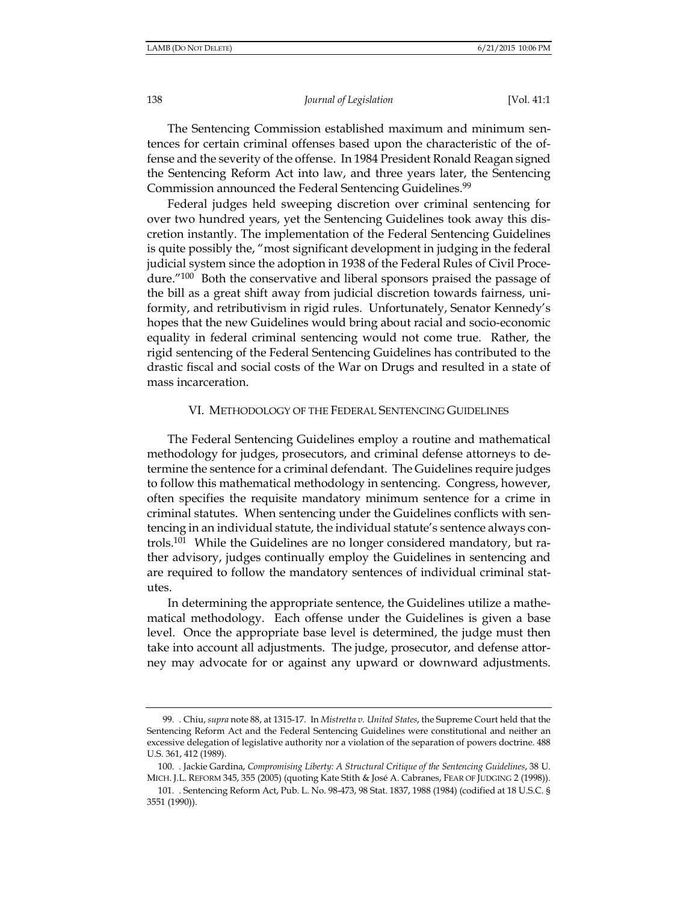[Vol. 41:1

The Sentencing Commission established maximum and minimum sentences for certain criminal offenses based upon the characteristic of the offense and the severity of the offense. In 1984 President Ronald Reagan signed the Sentencing Reform Act into law, and three years later, the Sentencing Commission announced the Federal Sentencing Guidelines.<sup>99</sup>

Federal judges held sweeping discretion over criminal sentencing for over two hundred years, yet the Sentencing Guidelines took away this discretion instantly. The implementation of the Federal Sentencing Guidelines is quite possibly the, "most significant development in judging in the federal judicial system since the adoption in 1938 of the Federal Rules of Civil Procedure."<sup>100</sup> Both the conservative and liberal sponsors praised the passage of the bill as a great shift away from judicial discretion towards fairness, uniformity, and retributivism in rigid rules. Unfortunately, Senator Kennedy's hopes that the new Guidelines would bring about racial and socio-economic equality in federal criminal sentencing would not come true. Rather, the rigid sentencing of the Federal Sentencing Guidelines has contributed to the drastic fiscal and social costs of the War on Drugs and resulted in a state of mass incarceration.

#### VI. METHODOLOGY OF THE FEDERAL SENTENCING GUIDELINES

The Federal Sentencing Guidelines employ a routine and mathematical methodology for judges, prosecutors, and criminal defense attorneys to determine the sentence for a criminal defendant. The Guidelines require judges to follow this mathematical methodology in sentencing. Congress, however, often specifies the requisite mandatory minimum sentence for a crime in criminal statutes. When sentencing under the Guidelines conflicts with sentencing in an individual statute, the individual statute's sentence always controls.<sup>101</sup> While the Guidelines are no longer considered mandatory, but rather advisory, judges continually employ the Guidelines in sentencing and are required to follow the mandatory sentences of individual criminal statutes.

In determining the appropriate sentence, the Guidelines utilize a mathematical methodology. Each offense under the Guidelines is given a base level. Once the appropriate base level is determined, the judge must then take into account all adjustments. The judge, prosecutor, and defense attorney may advocate for or against any upward or downward adjustments.

<sup>99.</sup> Chiu, supra note 88, at 1315-17. In Mistretta v. United States, the Supreme Court held that the Sentencing Reform Act and the Federal Sentencing Guidelines were constitutional and neither an excessive delegation of legislative authority nor a violation of the separation of powers doctrine. 488 U.S. 361, 412 (1989).

<sup>100.</sup> Jackie Gardina, Compromising Liberty: A Structural Critique of the Sentencing Guidelines, 38 U. MICH. J.L. REFORM 345, 355 (2005) (quoting Kate Stith & José A. Cabranes, FEAR OF JUDGING 2 (1998)).

<sup>101.</sup> Sentencing Reform Act, Pub. L. No. 98-473, 98 Stat. 1837, 1988 (1984) (codified at 18 U.S.C. § 3551 (1990)).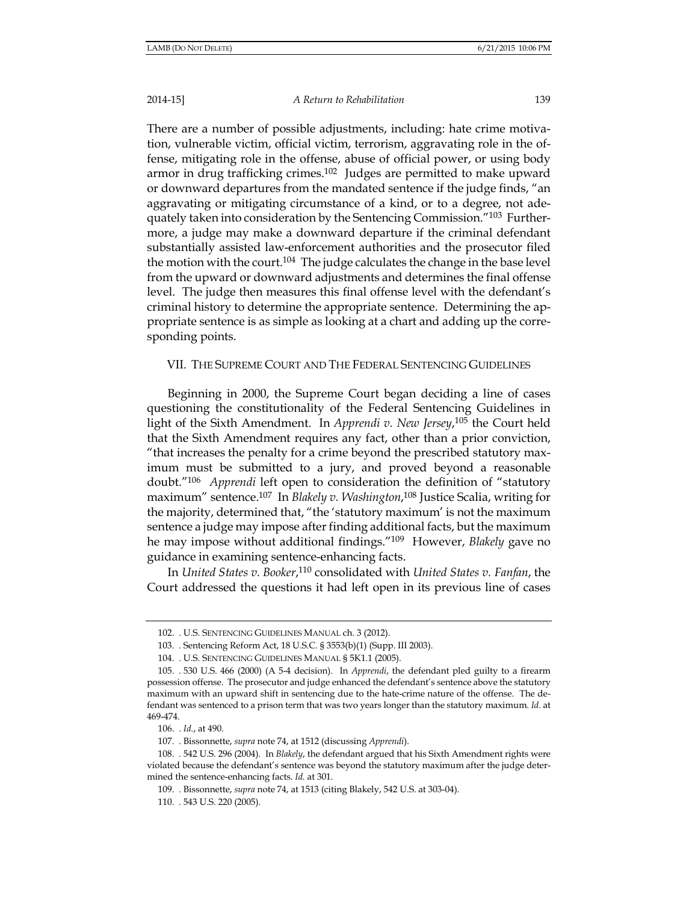#### A Return to Rehabilitation

139

There are a number of possible adjustments, including: hate crime motivation, vulnerable victim, official victim, terrorism, aggravating role in the offense, mitigating role in the offense, abuse of official power, or using body armor in drug trafficking crimes.<sup>102</sup> Judges are permitted to make upward or downward departures from the mandated sentence if the judge finds, "an aggravating or mitigating circumstance of a kind, or to a degree, not adequately taken into consideration by the Sentencing Commission."<sup>103</sup> Furthermore, a judge may make a downward departure if the criminal defendant substantially assisted law-enforcement authorities and the prosecutor filed the motion with the court.<sup>104</sup> The judge calculates the change in the base level from the upward or downward adjustments and determines the final offense level. The judge then measures this final offense level with the defendant's criminal history to determine the appropriate sentence. Determining the appropriate sentence is as simple as looking at a chart and adding up the corresponding points.

## VII. THE SUPREME COURT AND THE FEDERAL SENTENCING GUIDELINES

Beginning in 2000, the Supreme Court began deciding a line of cases questioning the constitutionality of the Federal Sentencing Guidelines in light of the Sixth Amendment. In Apprendi v. New Jersey,  $10^5$  the Court held that the Sixth Amendment requires any fact, other than a prior conviction, "that increases the penalty for a crime beyond the prescribed statutory maximum must be submitted to a jury, and proved beyond a reasonable doubt."<sup>106</sup> Apprendi left open to consideration the definition of "statutory maximum" sentence.<sup>107</sup> In Blakely v. Washington,<sup>108</sup> Justice Scalia, writing for the majority, determined that, "the 'statutory maximum' is not the maximum sentence a judge may impose after finding additional facts, but the maximum he may impose without additional findings."109 However, Blakely gave no guidance in examining sentence-enhancing facts.

In United States v. Booker,<sup>110</sup> consolidated with United States v. Fanfan, the Court addressed the questions it had left open in its previous line of cases

<sup>102. .</sup> U.S. SENTENCING GUIDELINES MANUAL ch. 3 (2012).

<sup>103.</sup> Sentencing Reform Act, 18 U.S.C. § 3553(b)(1) (Supp. III 2003).

<sup>104. .</sup> U.S. SENTENCING GUIDELINES MANUAL § 5K1.1 (2005).

<sup>105. . 530</sup> U.S. 466 (2000) (A 5-4 decision). In Apprendi, the defendant pled guilty to a firearm possession offense. The prosecutor and judge enhanced the defendant's sentence above the statutory maximum with an upward shift in sentencing due to the hate-crime nature of the offense. The defendant was sentenced to a prison term that was two years longer than the statutory maximum. Id. at 469-474.

<sup>106. .</sup> Id., at 490.

<sup>107.</sup> Bissonnette, supra note 74, at 1512 (discussing Apprendi).

<sup>108. . 542</sup> U.S. 296 (2004). In Blakely, the defendant argued that his Sixth Amendment rights were violated because the defendant's sentence was beyond the statutory maximum after the judge determined the sentence-enhancing facts. Id. at 301.

<sup>109.</sup> Bissonnette, supra note 74, at 1513 (citing Blakely, 542 U.S. at 303-04).

<sup>110. . 543</sup> U.S. 220 (2005).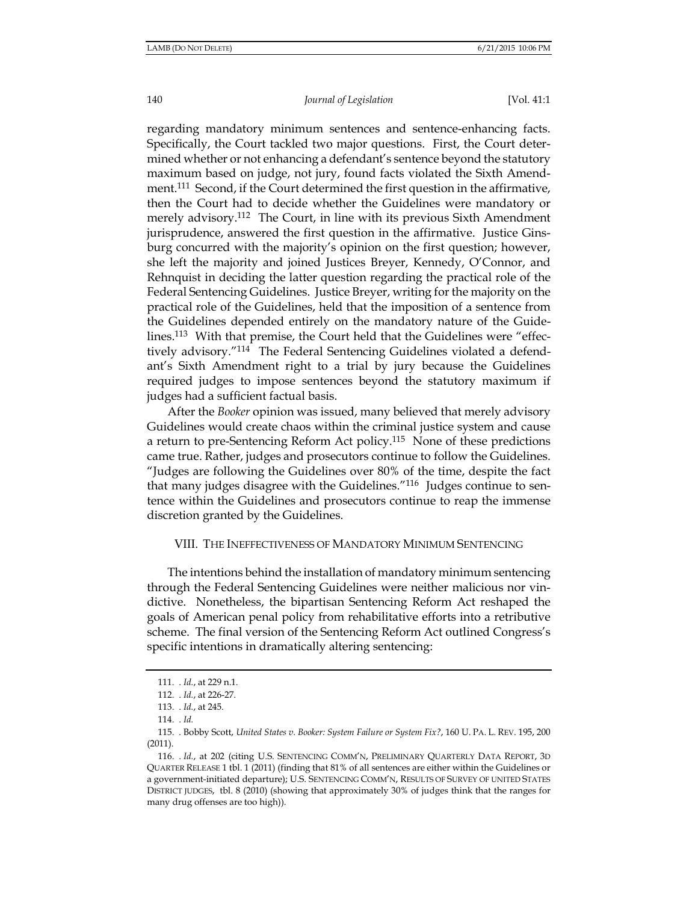140

#### Journal of Legislation

[Vol. 41:1

regarding mandatory minimum sentences and sentence-enhancing facts. Specifically, the Court tackled two major questions. First, the Court determined whether or not enhancing a defendant's sentence beyond the statutory maximum based on judge, not jury, found facts violated the Sixth Amendment.<sup>111</sup> Second, if the Court determined the first question in the affirmative, then the Court had to decide whether the Guidelines were mandatory or merely advisory.<sup>112</sup> The Court, in line with its previous Sixth Amendment jurisprudence, answered the first question in the affirmative. Justice Ginsburg concurred with the majority's opinion on the first question; however, she left the majority and joined Justices Breyer, Kennedy, O'Connor, and Rehnquist in deciding the latter question regarding the practical role of the Federal Sentencing Guidelines. Justice Breyer, writing for the majority on the practical role of the Guidelines, held that the imposition of a sentence from the Guidelines depended entirely on the mandatory nature of the Guidelines.<sup>113</sup> With that premise, the Court held that the Guidelines were "effectively advisory."<sup>114</sup> The Federal Sentencing Guidelines violated a defendant's Sixth Amendment right to a trial by jury because the Guidelines required judges to impose sentences beyond the statutory maximum if judges had a sufficient factual basis.

After the *Booker* opinion was issued, many believed that merely advisory Guidelines would create chaos within the criminal justice system and cause a return to pre-Sentencing Reform Act policy.<sup>115</sup> None of these predictions came true. Rather, judges and prosecutors continue to follow the Guidelines. "Judges are following the Guidelines over 80% of the time, despite the fact that many judges disagree with the Guidelines."<sup>116</sup> Judges continue to sentence within the Guidelines and prosecutors continue to reap the immense discretion granted by the Guidelines.

#### VIII. THE INEFFECTIVENESS OF MANDATORY MINIMUM SENTENCING

The intentions behind the installation of mandatory minimum sentencing through the Federal Sentencing Guidelines were neither malicious nor vindictive. Nonetheless, the bipartisan Sentencing Reform Act reshaped the goals of American penal policy from rehabilitative efforts into a retributive scheme. The final version of the Sentencing Reform Act outlined Congress's specific intentions in dramatically altering sentencing:

<sup>111. .</sup> Id., at 229 n.1.

<sup>112. .</sup> Id., at 226-27.

<sup>113.</sup> Id., at 245.

<sup>114.</sup> Id.

<sup>115. .</sup> Bobby Scott, United States v. Booker: System Failure or System Fix?, 160 U. PA. L. REV. 195, 200  $(2011).$ 

<sup>116. .</sup> Id., at 202 (citing U.S. SENTENCING COMM'N, PRELIMINARY QUARTERLY DATA REPORT, 3D QUARTER RELEASE 1 tbl. 1 (2011) (finding that 81% of all sentences are either within the Guidelines or a government-initiated departure); U.S. SENTENCING COMM'N, RESULTS OF SURVEY OF UNITED STATES DISTRICT JUDGES, tbl. 8 (2010) (showing that approximately 30% of judges think that the ranges for many drug offenses are too high)).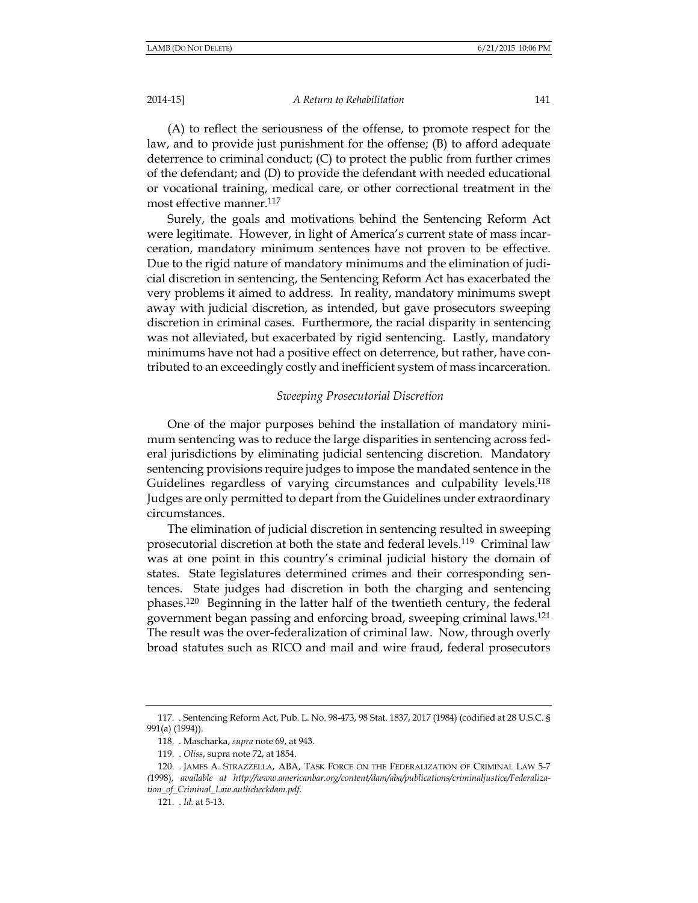A Return to Rehabilitation

(A) to reflect the seriousness of the offense, to promote respect for the law, and to provide just punishment for the offense; (B) to afford adequate deterrence to criminal conduct;  $(C)$  to protect the public from further crimes of the defendant; and (D) to provide the defendant with needed educational or vocational training, medical care, or other correctional treatment in the most effective manner.<sup>117</sup>

Surely, the goals and motivations behind the Sentencing Reform Act were legitimate. However, in light of America's current state of mass incarceration, mandatory minimum sentences have not proven to be effective. Due to the rigid nature of mandatory minimums and the elimination of judicial discretion in sentencing, the Sentencing Reform Act has exacerbated the very problems it aimed to address. In reality, mandatory minimums swept away with judicial discretion, as intended, but gave prosecutors sweeping discretion in criminal cases. Furthermore, the racial disparity in sentencing was not alleviated, but exacerbated by rigid sentencing. Lastly, mandatory minimums have not had a positive effect on deterrence, but rather, have contributed to an exceedingly costly and inefficient system of mass incarceration.

#### Sweeping Prosecutorial Discretion

One of the major purposes behind the installation of mandatory minimum sentencing was to reduce the large disparities in sentencing across federal jurisdictions by eliminating judicial sentencing discretion. Mandatory sentencing provisions require judges to impose the mandated sentence in the Guidelines regardless of varying circumstances and culpability levels.<sup>118</sup> Judges are only permitted to depart from the Guidelines under extraordinary circumstances.

The elimination of judicial discretion in sentencing resulted in sweeping prosecutorial discretion at both the state and federal levels.<sup>119</sup> Criminal law was at one point in this country's criminal judicial history the domain of states. State legislatures determined crimes and their corresponding sentences. State judges had discretion in both the charging and sentencing phases.<sup>120</sup> Beginning in the latter half of the twentieth century, the federal government began passing and enforcing broad, sweeping criminal laws.<sup>121</sup> The result was the over-federalization of criminal law. Now, through overly broad statutes such as RICO and mail and wire fraud, federal prosecutors

<sup>117.</sup> Sentencing Reform Act, Pub. L. No. 98-473, 98 Stat. 1837, 2017 (1984) (codified at 28 U.S.C. § 991(a) (1994)).

<sup>118.</sup> Mascharka, supra note 69, at 943.

<sup>119. .</sup> Oliss, supra note 72, at 1854.

<sup>120.</sup> JAMES A. STRAZZELLA, ABA, TASK FORCE ON THE FEDERALIZATION OF CRIMINAL LAW 5-7 (1998), available at http://www.americanbar.org/content/dam/aba/publications/criminaljustice/Federaliza-

tion\_of\_Criminal\_Law.authcheckdam.pdf.

<sup>121.</sup> *. Id.* at 5-13.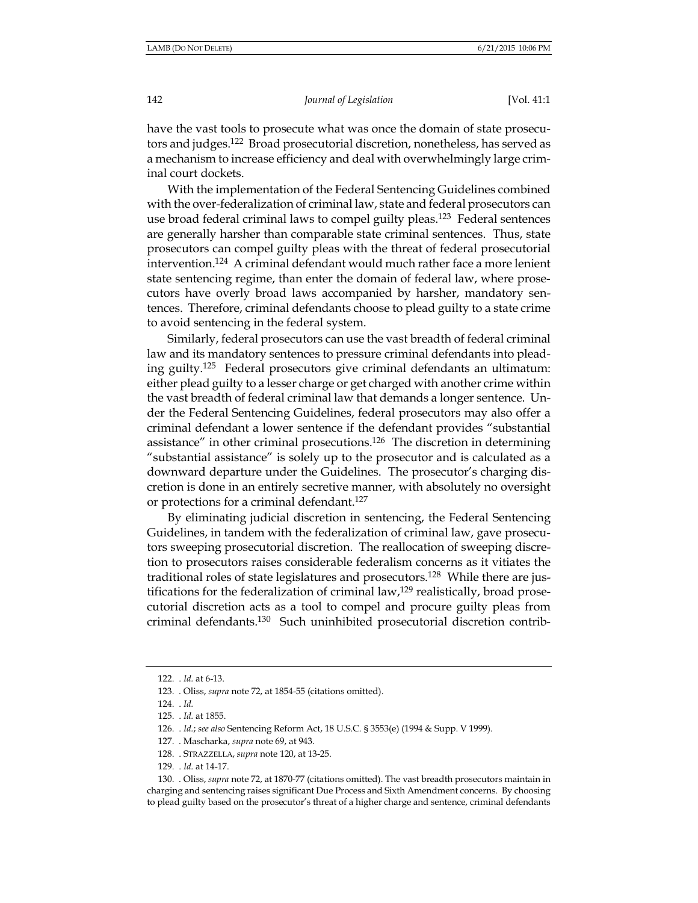have the vast tools to prosecute what was once the domain of state prosecutors and judges.<sup>122</sup> Broad prosecutorial discretion, nonetheless, has served as a mechanism to increase efficiency and deal with overwhelmingly large criminal court dockets.

With the implementation of the Federal Sentencing Guidelines combined with the over-federalization of criminal law, state and federal prosecutors can use broad federal criminal laws to compel guilty pleas.<sup>123</sup> Federal sentences are generally harsher than comparable state criminal sentences. Thus, state prosecutors can compel guilty pleas with the threat of federal prosecutorial intervention.<sup>124</sup> A criminal defendant would much rather face a more lenient state sentencing regime, than enter the domain of federal law, where prosecutors have overly broad laws accompanied by harsher, mandatory sentences. Therefore, criminal defendants choose to plead guilty to a state crime to avoid sentencing in the federal system.

Similarly, federal prosecutors can use the vast breadth of federal criminal law and its mandatory sentences to pressure criminal defendants into pleading guilty.<sup>125</sup> Federal prosecutors give criminal defendants an ultimatum: either plead guilty to a lesser charge or get charged with another crime within the vast breadth of federal criminal law that demands a longer sentence. Under the Federal Sentencing Guidelines, federal prosecutors may also offer a criminal defendant a lower sentence if the defendant provides "substantial" assistance" in other criminal prosecutions.<sup>126</sup> The discretion in determining "substantial assistance" is solely up to the prosecutor and is calculated as a downward departure under the Guidelines. The prosecutor's charging discretion is done in an entirely secretive manner, with absolutely no oversight or protections for a criminal defendant.<sup>127</sup>

By eliminating judicial discretion in sentencing, the Federal Sentencing Guidelines, in tandem with the federalization of criminal law, gave prosecutors sweeping prosecutorial discretion. The reallocation of sweeping discretion to prosecutors raises considerable federalism concerns as it vitiates the traditional roles of state legislatures and prosecutors.<sup>128</sup> While there are justifications for the federalization of criminal law,<sup>129</sup> realistically, broad prosecutorial discretion acts as a tool to compel and procure guilty pleas from criminal defendants.<sup>130</sup> Such uninhibited prosecutorial discretion contrib-

<sup>122. .</sup> Id. at 6-13.

<sup>123.</sup> Oliss, supra note 72, at 1854-55 (citations omitted).

<sup>124. .</sup> Id.

<sup>125. .</sup> Id. at 1855.

<sup>126.</sup> Id.; see also Sentencing Reform Act, 18 U.S.C. § 3553(e) (1994 & Supp. V 1999).

<sup>127.</sup> Mascharka, supra note 69, at 943.

<sup>128.</sup> STRAZZELLA, supra note 120, at 13-25.

<sup>129. .</sup> Id. at 14-17.

<sup>130.</sup> Oliss, supra note 72, at 1870-77 (citations omitted). The vast breadth prosecutors maintain in charging and sentencing raises significant Due Process and Sixth Amendment concerns. By choosing to plead guilty based on the prosecutor's threat of a higher charge and sentence, criminal defendants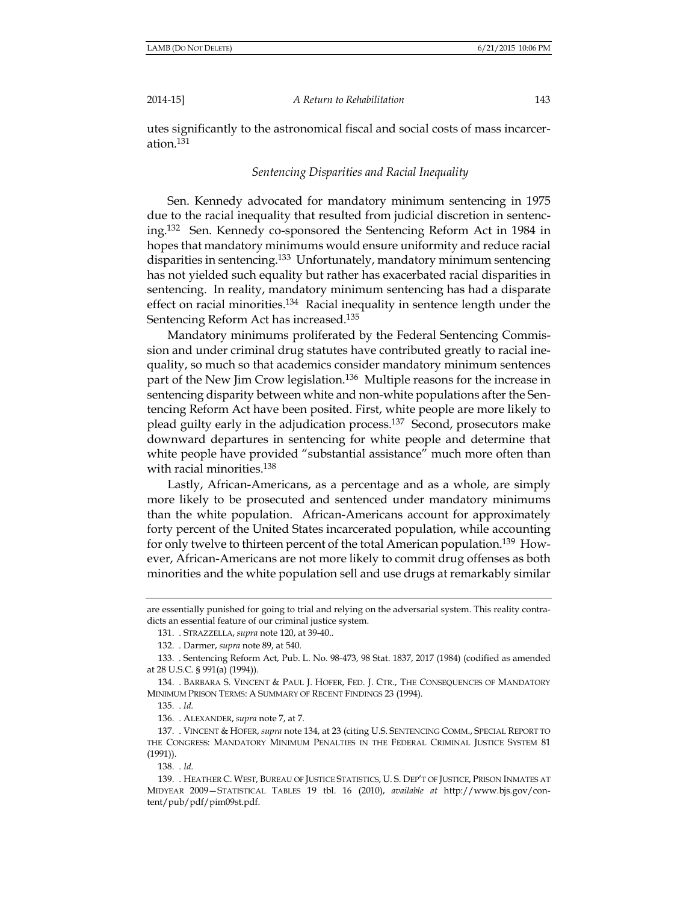A Return to Rehabilitation

utes significantly to the astronomical fiscal and social costs of mass incarceration.<sup>131</sup>

#### Sentencing Disparities and Racial Inequality

Sen. Kennedy advocated for mandatory minimum sentencing in 1975 due to the racial inequality that resulted from judicial discretion in sentencing.<sup>132</sup> Sen. Kennedy co-sponsored the Sentencing Reform Act in 1984 in hopes that mandatory minimums would ensure uniformity and reduce racial disparities in sentencing.<sup>133</sup> Unfortunately, mandatory minimum sentencing has not yielded such equality but rather has exacerbated racial disparities in sentencing. In reality, mandatory minimum sentencing has had a disparate effect on racial minorities.<sup>134</sup> Racial inequality in sentence length under the Sentencing Reform Act has increased.<sup>135</sup>

Mandatory minimums proliferated by the Federal Sentencing Commission and under criminal drug statutes have contributed greatly to racial inequality, so much so that academics consider mandatory minimum sentences part of the New Jim Crow legislation.<sup>136</sup> Multiple reasons for the increase in sentencing disparity between white and non-white populations after the Sentencing Reform Act have been posited. First, white people are more likely to plead guilty early in the adjudication process.<sup>137</sup> Second, prosecutors make downward departures in sentencing for white people and determine that white people have provided "substantial assistance" much more often than with racial minorities.<sup>138</sup>

Lastly, African-Americans, as a percentage and as a whole, are simply more likely to be prosecuted and sentenced under mandatory minimums than the white population. African-Americans account for approximately forty percent of the United States incarcerated population, while accounting for only twelve to thirteen percent of the total American population.<sup>139</sup> However, African-Americans are not more likely to commit drug offenses as both minorities and the white population sell and use drugs at remarkably similar

138. . Id.

are essentially punished for going to trial and relying on the adversarial system. This reality contradicts an essential feature of our criminal justice system.

<sup>131.</sup> STRAZZELLA, supra note 120, at 39-40..

<sup>132.</sup> Darmer, supra note 89, at 540.

<sup>133.</sup> Sentencing Reform Act, Pub. L. No. 98-473, 98 Stat. 1837, 2017 (1984) (codified as amended at 28 U.S.C. § 991(a) (1994)).

<sup>134.</sup> BARBARA S. VINCENT & PAUL J. HOFER, FED. J. CTR., THE CONSEQUENCES OF MANDATORY MINIMUM PRISON TERMS: A SUMMARY OF RECENT FINDINGS 23 (1994).

<sup>135. .</sup> Id.

<sup>136.</sup> ALEXANDER, supra note 7, at 7.

<sup>137.</sup> VINCENT & HOFER, supra note 134, at 23 (citing U.S. SENTENCING COMM., SPECIAL REPORT TO THE CONGRESS: MANDATORY MINIMUM PENALTIES IN THE FEDERAL CRIMINAL JUSTICE SYSTEM 81  $(1991)$ ).

<sup>139.</sup> HEATHER C. WEST, BUREAU OF JUSTICE STATISTICS, U.S. DEP'T OF JUSTICE, PRISON INMATES AT MIDYEAR 2009-STATISTICAL TABLES 19 tbl. 16 (2010), available at http://www.bjs.gov/content/pub/pdf/pim09st.pdf.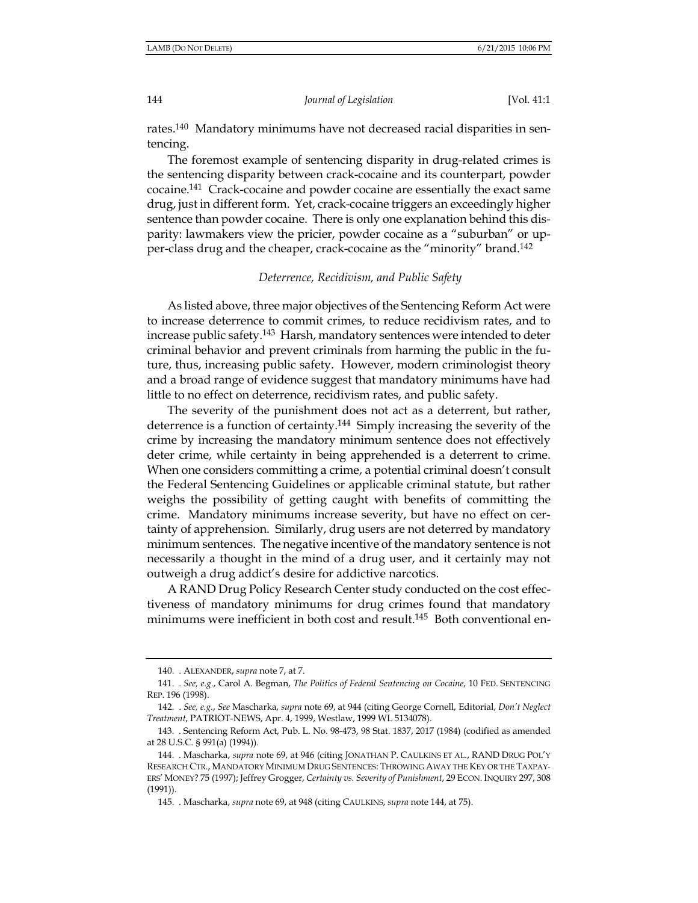[Vol. 41:1

rates.<sup>140</sup> Mandatory minimums have not decreased racial disparities in sentencing.

The foremost example of sentencing disparity in drug-related crimes is the sentencing disparity between crack-cocaine and its counterpart, powder cocaine.<sup>141</sup> Crack-cocaine and powder cocaine are essentially the exact same drug, just in different form. Yet, crack-cocaine triggers an exceedingly higher sentence than powder cocaine. There is only one explanation behind this disparity: lawmakers view the pricier, powder cocaine as a "suburban" or upper-class drug and the cheaper, crack-cocaine as the "minority" brand.<sup>142</sup>

#### Deterrence, Recidivism, and Public Safety

As listed above, three major objectives of the Sentencing Reform Act were to increase deterrence to commit crimes, to reduce recidivism rates, and to increase public safety.<sup>143</sup> Harsh, mandatory sentences were intended to deter criminal behavior and prevent criminals from harming the public in the future, thus, increasing public safety. However, modern criminologist theory and a broad range of evidence suggest that mandatory minimums have had little to no effect on deterrence, recidivism rates, and public safety.

The severity of the punishment does not act as a deterrent, but rather, deterrence is a function of certainty.<sup>144</sup> Simply increasing the severity of the crime by increasing the mandatory minimum sentence does not effectively deter crime, while certainty in being apprehended is a deterrent to crime. When one considers committing a crime, a potential criminal doesn't consult the Federal Sentencing Guidelines or applicable criminal statute, but rather weighs the possibility of getting caught with benefits of committing the crime. Mandatory minimums increase severity, but have no effect on certainty of apprehension. Similarly, drug users are not deterred by mandatory minimum sentences. The negative incentive of the mandatory sentence is not necessarily a thought in the mind of a drug user, and it certainly may not outweigh a drug addict's desire for addictive narcotics.

A RAND Drug Policy Research Center study conducted on the cost effectiveness of mandatory minimums for drug crimes found that mandatory minimums were inefficient in both cost and result.<sup>145</sup> Both conventional en-

<sup>140.</sup> ALEXANDER, supra note 7, at 7.

<sup>141. .</sup> See, e.g., Carol A. Begman, The Politics of Federal Sentencing on Cocaine, 10 FED. SENTENCING REP. 196 (1998).

<sup>142. .</sup> See, e.g., See Mascharka, supra note 69, at 944 (citing George Cornell, Editorial, Don't Neglect Treatment, PATRIOT-NEWS, Apr. 4, 1999, Westlaw, 1999 WL 5134078).

<sup>143.</sup> Sentencing Reform Act, Pub. L. No. 98-473, 98 Stat. 1837, 2017 (1984) (codified as amended at 28 U.S.C. § 991(a) (1994)).

<sup>144. .</sup> Mascharka, supra note 69, at 946 (citing JONATHAN P. CAULKINS ET AL., RAND DRUG POL'Y RESEARCH CTR., MANDATORY MINIMUM DRUG SENTENCES: THROWING AWAY THE KEY OR THE TAXPAY-ERS' MONEY? 75 (1997); Jeffrey Grogger, Certainty vs. Severity of Punishment, 29 ECON. INQUIRY 297, 308  $(1991)$ ).

<sup>145.</sup> Mascharka, supra note 69, at 948 (citing CAULKINS, supra note 144, at 75).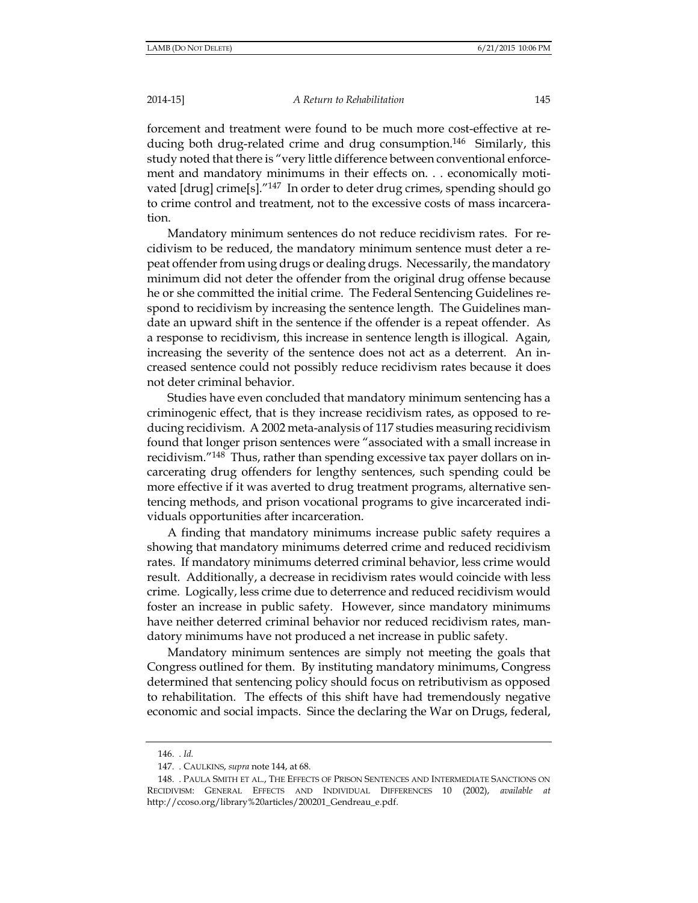#### A Return to Rehabilitation

forcement and treatment were found to be much more cost-effective at reducing both drug-related crime and drug consumption.<sup>146</sup> Similarly, this study noted that there is "very little difference between conventional enforcement and mandatory minimums in their effects on. . . economically motivated [drug] crime[s]."<sup>147</sup> In order to deter drug crimes, spending should go to crime control and treatment, not to the excessive costs of mass incarceration.

Mandatory minimum sentences do not reduce recidivism rates. For recidivism to be reduced, the mandatory minimum sentence must deter a repeat offender from using drugs or dealing drugs. Necessarily, the mandatory minimum did not deter the offender from the original drug offense because he or she committed the initial crime. The Federal Sentencing Guidelines respond to recidivism by increasing the sentence length. The Guidelines mandate an upward shift in the sentence if the offender is a repeat offender. As a response to recidivism, this increase in sentence length is illogical. Again, increasing the severity of the sentence does not act as a deterrent. An increased sentence could not possibly reduce recidivism rates because it does not deter criminal behavior.

Studies have even concluded that mandatory minimum sentencing has a criminogenic effect, that is they increase recidivism rates, as opposed to reducing recidivism. A 2002 meta-analysis of 117 studies measuring recidivism found that longer prison sentences were "associated with a small increase in recidivism."<sup>148</sup> Thus, rather than spending excessive tax payer dollars on incarcerating drug offenders for lengthy sentences, such spending could be more effective if it was averted to drug treatment programs, alternative sentencing methods, and prison vocational programs to give incarcerated individuals opportunities after incarceration.

A finding that mandatory minimums increase public safety requires a showing that mandatory minimums deterred crime and reduced recidivism rates. If mandatory minimums deterred criminal behavior, less crime would result. Additionally, a decrease in recidivism rates would coincide with less crime. Logically, less crime due to deterrence and reduced recidivism would foster an increase in public safety. However, since mandatory minimums have neither deterred criminal behavior nor reduced recidivism rates, mandatory minimums have not produced a net increase in public safety.

Mandatory minimum sentences are simply not meeting the goals that Congress outlined for them. By instituting mandatory minimums, Congress determined that sentencing policy should focus on retributivism as opposed to rehabilitation. The effects of this shift have had tremendously negative economic and social impacts. Since the declaring the War on Drugs, federal,

<sup>146.</sup> *.Id.* 

<sup>147. .</sup> CAULKINS, supra note 144, at 68.

<sup>148.</sup> PAULA SMITH ET AL., THE EFFECTS OF PRISON SENTENCES AND INTERMEDIATE SANCTIONS ON RECIDIVISM: GENERAL EFFECTS AND INDIVIDUAL DIFFERENCES 10 (2002), available at http://ccoso.org/library%20articles/200201\_Gendreau\_e.pdf.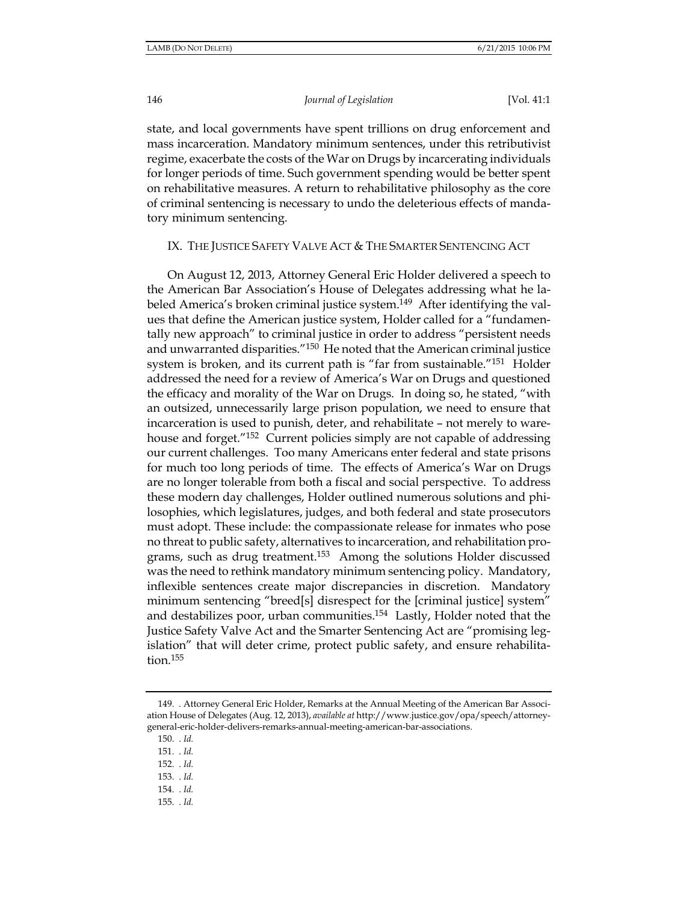[Vol. 41:1

state, and local governments have spent trillions on drug enforcement and mass incarceration. Mandatory minimum sentences, under this retributivist regime, exacerbate the costs of the War on Drugs by incarcerating individuals for longer periods of time. Such government spending would be better spent on rehabilitative measures. A return to rehabilitative philosophy as the core of criminal sentencing is necessary to undo the deleterious effects of mandatory minimum sentencing.

IX. THE JUSTICE SAFETY VALVE ACT & THE SMARTER SENTENCING ACT

On August 12, 2013, Attorney General Eric Holder delivered a speech to the American Bar Association's House of Delegates addressing what he labeled America's broken criminal justice system.<sup>149</sup> After identifying the values that define the American justice system, Holder called for a "fundamentally new approach" to criminal justice in order to address "persistent needs and unwarranted disparities."<sup>150</sup> He noted that the American criminal justice system is broken, and its current path is "far from sustainable."<sup>151</sup> Holder addressed the need for a review of America's War on Drugs and questioned the efficacy and morality of the War on Drugs. In doing so, he stated, "with an outsized, unnecessarily large prison population, we need to ensure that incarceration is used to punish, deter, and rehabilitate – not merely to warehouse and forget."<sup>152</sup> Current policies simply are not capable of addressing our current challenges. Too many Americans enter federal and state prisons for much too long periods of time. The effects of America's War on Drugs are no longer tolerable from both a fiscal and social perspective. To address these modern day challenges, Holder outlined numerous solutions and philosophies, which legislatures, judges, and both federal and state prosecutors must adopt. These include: the compassionate release for inmates who pose no threat to public safety, alternatives to incarceration, and rehabilitation programs, such as drug treatment.<sup>153</sup> Among the solutions Holder discussed was the need to rethink mandatory minimum sentencing policy. Mandatory, inflexible sentences create major discrepancies in discretion. Mandatory minimum sentencing "breed[s] disrespect for the [criminal justice] system" and destabilizes poor, urban communities.<sup>154</sup> Lastly, Holder noted that the Justice Safety Valve Act and the Smarter Sentencing Act are "promising legislation" that will deter crime, protect public safety, and ensure rehabilita $tion.<sup>155</sup>$ 

155. *. Id.* 

<sup>149.</sup> Attorney General Eric Holder, Remarks at the Annual Meeting of the American Bar Association House of Delegates (Aug. 12, 2013), available at http://www.justice.gov/opa/speech/attorneygeneral-eric-holder-delivers-remarks-annual-meeting-american-bar-associations.

 $150.$   $Id.$ 

<sup>151. .</sup> Id.

<sup>152.</sup> Id.

<sup>153. .</sup> Id.

 $154.$   $Id.$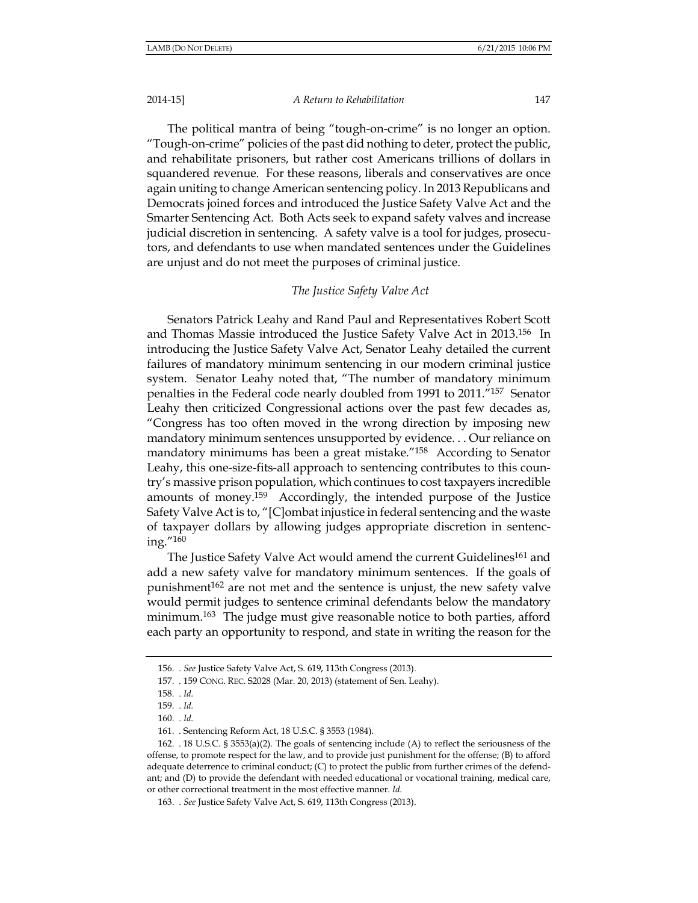#### A Return to Rehabilitation

The political mantra of being "tough-on-crime" is no longer an option. "Tough-on-crime" policies of the past did nothing to deter, protect the public, and rehabilitate prisoners, but rather cost Americans trillions of dollars in squandered revenue. For these reasons, liberals and conservatives are once again uniting to change American sentencing policy. In 2013 Republicans and Democrats joined forces and introduced the Justice Safety Valve Act and the Smarter Sentencing Act. Both Acts seek to expand safety valves and increase judicial discretion in sentencing. A safety valve is a tool for judges, prosecutors, and defendants to use when mandated sentences under the Guidelines are unjust and do not meet the purposes of criminal justice.

#### The Justice Safety Valve Act

Senators Patrick Leahy and Rand Paul and Representatives Robert Scott and Thomas Massie introduced the Justice Safety Valve Act in 2013.<sup>156</sup> In introducing the Justice Safety Valve Act, Senator Leahy detailed the current failures of mandatory minimum sentencing in our modern criminal justice system. Senator Leahy noted that, "The number of mandatory minimum penalties in the Federal code nearly doubled from 1991 to 2011."157 Senator Leahy then criticized Congressional actions over the past few decades as, "Congress has too often moved in the wrong direction by imposing new mandatory minimum sentences unsupported by evidence... Our reliance on mandatory minimums has been a great mistake."<sup>158</sup> According to Senator Leahy, this one-size-fits-all approach to sentencing contributes to this country's massive prison population, which continues to cost taxpayers incredible amounts of money.<sup>159</sup> Accordingly, the intended purpose of the Justice Safety Valve Act is to, "[C]ombat injustice in federal sentencing and the waste of taxpayer dollars by allowing judges appropriate discretion in sentencing. $^{\prime\prime}$ <sup>160</sup>

The Justice Safety Valve Act would amend the current Guidelines<sup>161</sup> and add a new safety valve for mandatory minimum sentences. If the goals of punishment<sup>162</sup> are not met and the sentence is unjust, the new safety valve would permit judges to sentence criminal defendants below the mandatory minimum.<sup>163</sup> The judge must give reasonable notice to both parties, afford each party an opportunity to respond, and state in writing the reason for the

<sup>156. .</sup> See Justice Safety Valve Act, S. 619, 113th Congress (2013).

<sup>157. . 159</sup> CONG. REC. S2028 (Mar. 20, 2013) (statement of Sen. Leahy).

<sup>158. .</sup> Id.

<sup>159. .</sup> Id.

<sup>160. .</sup> Id.

<sup>161.</sup> Sentencing Reform Act, 18 U.S.C. § 3553 (1984).

<sup>162. 18</sup> U.S.C. § 3553(a)(2). The goals of sentencing include (A) to reflect the seriousness of the offense, to promote respect for the law, and to provide just punishment for the offense; (B) to afford adequate deterrence to criminal conduct; (C) to protect the public from further crimes of the defendant; and (D) to provide the defendant with needed educational or vocational training, medical care, or other correctional treatment in the most effective manner. Id.

<sup>163. .</sup> See Justice Safety Valve Act, S. 619, 113th Congress (2013).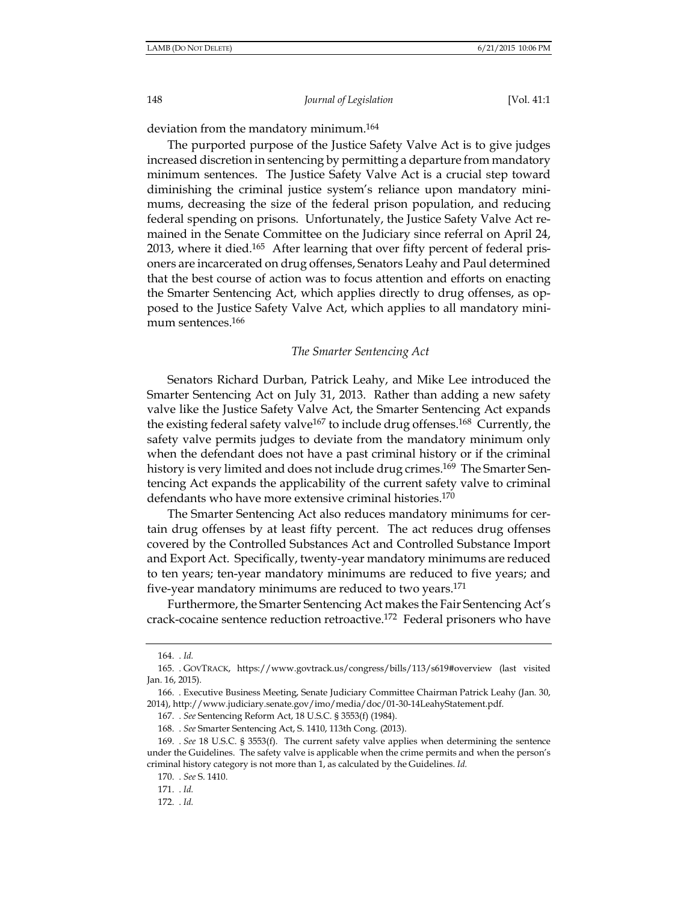148

Journal of Legislation

[Vol. 41:1

deviation from the mandatory minimum.<sup>164</sup>

The purported purpose of the Justice Safety Valve Act is to give judges increased discretion in sentencing by permitting a departure from mandatory minimum sentences. The Justice Safety Valve Act is a crucial step toward diminishing the criminal justice system's reliance upon mandatory minimums, decreasing the size of the federal prison population, and reducing federal spending on prisons. Unfortunately, the Justice Safety Valve Act remained in the Senate Committee on the Judiciary since referral on April 24, 2013, where it died.<sup>165</sup> After learning that over fifty percent of federal prisoners are incarcerated on drug offenses, Senators Leahy and Paul determined that the best course of action was to focus attention and efforts on enacting the Smarter Sentencing Act, which applies directly to drug offenses, as opposed to the Justice Safety Valve Act, which applies to all mandatory minimum sentences.<sup>166</sup>

#### The Smarter Sentencing Act

Senators Richard Durban, Patrick Leahy, and Mike Lee introduced the Smarter Sentencing Act on July 31, 2013. Rather than adding a new safety valve like the Justice Safety Valve Act, the Smarter Sentencing Act expands the existing federal safety valve<sup>167</sup> to include drug offenses.<sup>168</sup> Currently, the safety valve permits judges to deviate from the mandatory minimum only when the defendant does not have a past criminal history or if the criminal history is very limited and does not include drug crimes.<sup>169</sup> The Smarter Sentencing Act expands the applicability of the current safety valve to criminal defendants who have more extensive criminal histories.<sup>170</sup>

The Smarter Sentencing Act also reduces mandatory minimums for certain drug offenses by at least fifty percent. The act reduces drug offenses covered by the Controlled Substances Act and Controlled Substance Import and Export Act. Specifically, twenty-year mandatory minimums are reduced to ten years; ten-year mandatory minimums are reduced to five years; and five-year mandatory minimums are reduced to two years.<sup>171</sup>

Furthermore, the Smarter Sentencing Act makes the Fair Sentencing Act's crack-cocaine sentence reduction retroactive.<sup>172</sup> Federal prisoners who have

<sup>164. .</sup> Id.

<sup>165. .</sup> GOVTRACK, https://www.govtrack.us/congress/bills/113/s619#overview (last visited Jan. 16, 2015).

<sup>166. .</sup> Executive Business Meeting, Senate Judiciary Committee Chairman Patrick Leahy (Jan. 30, 2014), http://www.judiciary.senate.gov/imo/media/doc/01-30-14LeahyStatement.pdf.

<sup>167. .</sup> See Sentencing Reform Act, 18 U.S.C. § 3553(f) (1984).

<sup>168. .</sup> See Smarter Sentencing Act, S. 1410, 113th Cong. (2013).

<sup>169. .</sup> See 18 U.S.C. § 3553(f). The current safety valve applies when determining the sentence under the Guidelines. The safety valve is applicable when the crime permits and when the person's criminal history category is not more than 1, as calculated by the Guidelines. Id.

<sup>170. .</sup> See S. 1410.

 $171.$   $Id.$ 

<sup>172. .</sup> Id.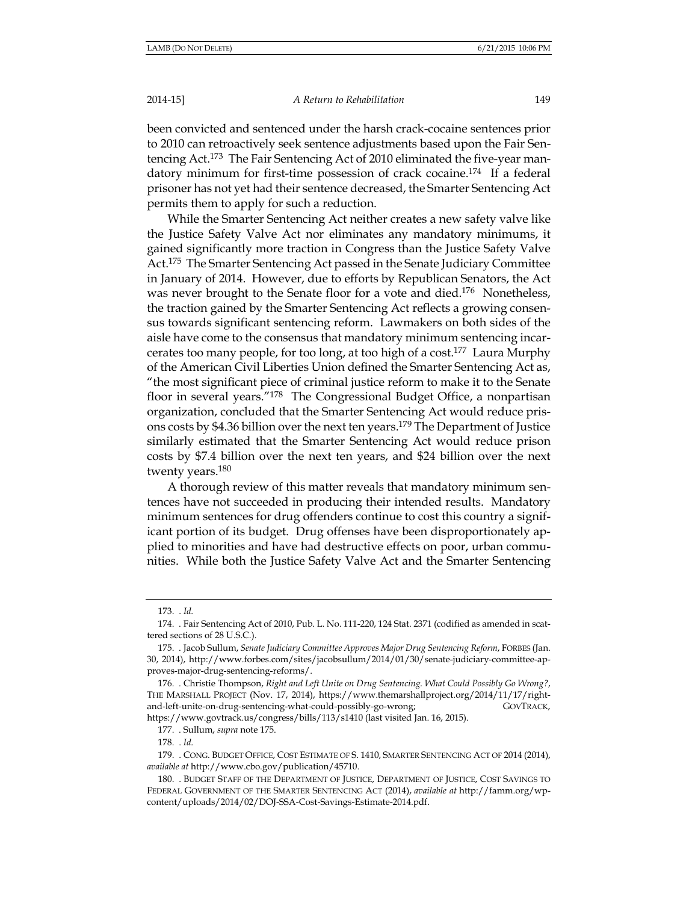A Return to Rehabilitation

been convicted and sentenced under the harsh crack-cocaine sentences prior to 2010 can retroactively seek sentence adjustments based upon the Fair Sentencing Act.<sup>173</sup> The Fair Sentencing Act of 2010 eliminated the five-year mandatory minimum for first-time possession of crack cocaine.<sup>174</sup> If a federal prisoner has not yet had their sentence decreased, the Smarter Sentencing Act permits them to apply for such a reduction.

While the Smarter Sentencing Act neither creates a new safety valve like the Justice Safety Valve Act nor eliminates any mandatory minimums, it gained significantly more traction in Congress than the Justice Safety Valve Act.<sup>175</sup> The Smarter Sentencing Act passed in the Senate Judiciary Committee in January of 2014. However, due to efforts by Republican Senators, the Act was never brought to the Senate floor for a vote and died.<sup>176</sup> Nonetheless, the traction gained by the Smarter Sentencing Act reflects a growing consensus towards significant sentencing reform. Lawmakers on both sides of the aisle have come to the consensus that mandatory minimum sentencing incarcerates too many people, for too long, at too high of a cost.<sup>177</sup> Laura Murphy of the American Civil Liberties Union defined the Smarter Sentencing Act as, "the most significant piece of criminal justice reform to make it to the Senate floor in several years."<sup>178</sup> The Congressional Budget Office, a nonpartisan organization, concluded that the Smarter Sentencing Act would reduce prisons costs by \$4.36 billion over the next ten years.<sup>179</sup> The Department of Justice similarly estimated that the Smarter Sentencing Act would reduce prison costs by \$7.4 billion over the next ten years, and \$24 billion over the next twenty years.<sup>180</sup>

A thorough review of this matter reveals that mandatory minimum sentences have not succeeded in producing their intended results. Mandatory minimum sentences for drug offenders continue to cost this country a significant portion of its budget. Drug offenses have been disproportionately applied to minorities and have had destructive effects on poor, urban communities. While both the Justice Safety Valve Act and the Smarter Sentencing

 $173.$   $Id.$ 

<sup>174. .</sup> Fair Sentencing Act of 2010, Pub. L. No. 111-220, 124 Stat. 2371 (codified as amended in scattered sections of 28 U.S.C.).

<sup>175.</sup> Jacob Sullum, Senate Judiciary Committee Approves Major Drug Sentencing Reform, FORBES (Jan. 30, 2014), http://www.forbes.com/sites/jacobsullum/2014/01/30/senate-judiciary-committee-approves-major-drug-sentencing-reforms/.

<sup>176. .</sup> Christie Thompson, Right and Left Unite on Drug Sentencing. What Could Possibly Go Wrong?, THE MARSHALL PROJECT (Nov. 17, 2014), https://www.themarshallproject.org/2014/11/17/rightand-left-unite-on-drug-sentencing-what-could-possibly-go-wrong; GOVTRACK, https://www.govtrack.us/congress/bills/113/s1410 (last visited Jan. 16, 2015).

<sup>177. .</sup> Sullum, supra note 175.

<sup>178. .</sup> Id.

<sup>179.</sup> CONG. BUDGET OFFICE, COST ESTIMATE OF S. 1410, SMARTER SENTENCING ACT OF 2014 (2014), available at http://www.cbo.gov/publication/45710.

<sup>180.</sup> BUDGET STAFF OF THE DEPARTMENT OF JUSTICE, DEPARTMENT OF JUSTICE, COST SAVINGS TO FEDERAL GOVERNMENT OF THE SMARTER SENTENCING ACT (2014), available at http://famm.org/wpcontent/uploads/2014/02/DOJ-SSA-Cost-Savings-Estimate-2014.pdf.